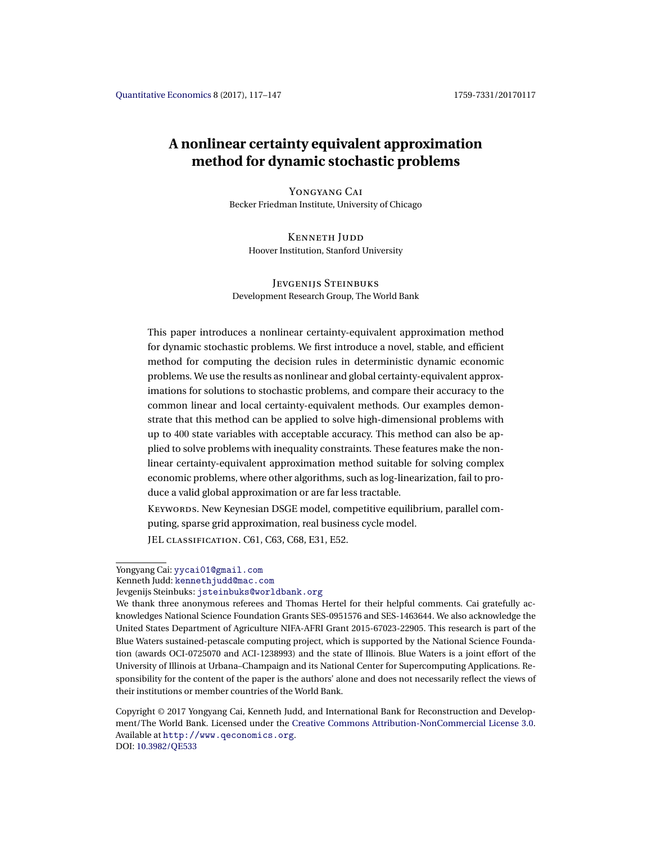# **A nonlinear certainty equivalent approximation method for dynamic stochastic problems**

Yongyang Cai Becker Friedman Institute, University of Chicago

**KENNETH JUDD** Hoover Institution, Stanford University

Jevgenijs Steinbuks Development Research Group, The World Bank

This paper introduces a nonlinear certainty-equivalent approximation method for dynamic stochastic problems. We first introduce a novel, stable, and efficient method for computing the decision rules in deterministic dynamic economic problems. We use the results as nonlinear and global certainty-equivalent approximations for solutions to stochastic problems, and compare their accuracy to the common linear and local certainty-equivalent methods. Our examples demonstrate that this method can be applied to solve high-dimensional problems with up to 400 state variables with acceptable accuracy. This method can also be applied to solve problems with inequality constraints. These features make the nonlinear certainty-equivalent approximation method suitable for solving complex economic problems, where other algorithms, such as log-linearization, fail to produce a valid global approximation or are far less tractable.

Keywords. New Keynesian DSGE model, competitive equilibrium, parallel computing, sparse grid approximation, real business cycle model.

JEL classification. C61, C63, C68, E31, E52.

Yongyang Cai: [yycai01@gmail.com](mailto:yycai01@gmail.com)

Kenneth Judd: [kennethjudd@mac.com](mailto:kennethjudd@mac.com)

Jevgenijs Steinbuks: [jsteinbuks@worldbank.org](mailto:jsteinbuks@worldbank.org)

We thank three anonymous referees and Thomas Hertel for their helpful comments. Cai gratefully acknowledges National Science Foundation Grants SES-0951576 and SES-1463644. We also acknowledge the United States Department of Agriculture NIFA-AFRI Grant 2015-67023-22905. This research is part of the Blue Waters sustained-petascale computing project, which is supported by the National Science Foundation (awards OCI-0725070 and ACI-1238993) and the state of Illinois. Blue Waters is a joint effort of the University of Illinois at Urbana–Champaign and its National Center for Supercomputing Applications. Responsibility for the content of the paper is the authors' alone and does not necessarily reflect the views of their institutions or member countries of the World Bank.

Copyright © 2017 Yongyang Cai, Kenneth Judd, and International Bank for Reconstruction and Development/The World Bank. Licensed under the [Creative Commons Attribution-NonCommercial License 3.0](http://creativecommons.org/licenses/by-nc/3.0/). Available at [http://www.qeconomics.org](http://www.qeconomics.org/). DOI: [10.3982/QE533](http://dx.doi.org/10.3982/QE533)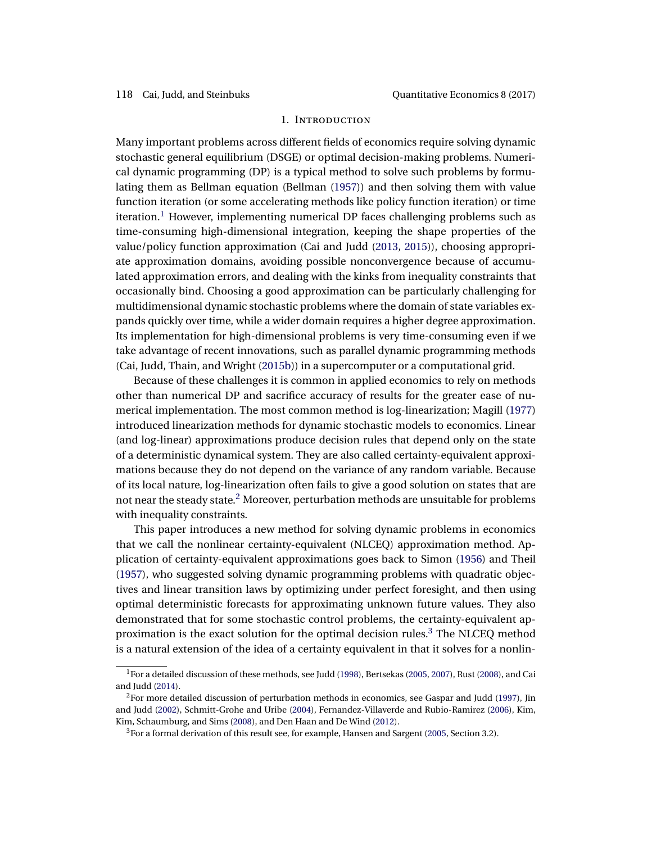### 1. Introduction

<span id="page-1-0"></span>Many important problems across different fields of economics require solving dynamic stochastic general equilibrium (DSGE) or optimal decision-making problems. Numerical dynamic programming (DP) is a typical method to solve such problems by formulating them as Bellman equation (Bellman [\(1957\)](#page-27-0)) and then solving them with value function iteration (or some accelerating methods like policy function iteration) or time iteration.<sup>1</sup> However, implementing numerical DP faces challenging problems such as time-consuming high-dimensional integration, keeping the shape properties of the value/policy function approximation (Cai and Judd [\(2013,](#page-27-0) [2015\)](#page-27-0)), choosing appropriate approximation domains, avoiding possible nonconvergence because of accumulated approximation errors, and dealing with the kinks from inequality constraints that occasionally bind. Choosing a good approximation can be particularly challenging for multidimensional dynamic stochastic problems where the domain of state variables expands quickly over time, while a wider domain requires a higher degree approximation. Its implementation for high-dimensional problems is very time-consuming even if we take advantage of recent innovations, such as parallel dynamic programming methods (Cai, Judd, Thain, and Wright [\(2015b\)](#page-27-0)) in a supercomputer or a computational grid.

Because of these challenges it is common in applied economics to rely on methods other than numerical DP and sacrifice accuracy of results for the greater ease of numerical implementation. The most common method is log-linearization; Magill [\(1977\)](#page-29-0) introduced linearization methods for dynamic stochastic models to economics. Linear (and log-linear) approximations produce decision rules that depend only on the state of a deterministic dynamical system. They are also called certainty-equivalent approximations because they do not depend on the variance of any random variable. Because of its local nature, log-linearization often fails to give a good solution on states that are not near the steady state.<sup>2</sup> Moreover, perturbation methods are unsuitable for problems with inequality constraints.

This paper introduces a new method for solving dynamic problems in economics that we call the nonlinear certainty-equivalent (NLCEQ) approximation method. Application of certainty-equivalent approximations goes back to Simon [\(1956\)](#page-30-0) and Theil [\(1957\)](#page-30-0), who suggested solving dynamic programming problems with quadratic objectives and linear transition laws by optimizing under perfect foresight, and then using optimal deterministic forecasts for approximating unknown future values. They also demonstrated that for some stochastic control problems, the certainty-equivalent approximation is the exact solution for the optimal decision rules.<sup>3</sup> The NLCEQ method is a natural extension of the idea of a certainty equivalent in that it solves for a nonlin-

 $1$  For a detailed discussion of these methods, see Judd [\(1998\)](#page-29-0), Bertsekas [\(2005,](#page-27-0) [2007\)](#page-27-0), Rust [\(2008\)](#page-30-0), and Cai and Judd [\(2014\)](#page-27-0).

 ${}^{2}$ For more detailed discussion of perturbation methods in economics, see Gaspar and Judd [\(1997\)](#page-28-0), Jin and Judd [\(2002\)](#page-29-0), Schmitt-Grohe and Uribe [\(2004\)](#page-30-0), Fernandez-Villaverde and Rubio-Ramirez [\(2006\)](#page-28-0), Kim, Kim, Schaumburg, and Sims [\(2008\)](#page-29-0), and Den Haan and De Wind [\(2012\)](#page-28-0).

 $3$  For a formal derivation of this result see, for example, Hansen and Sargent [\(2005,](#page-29-0) Section 3.2).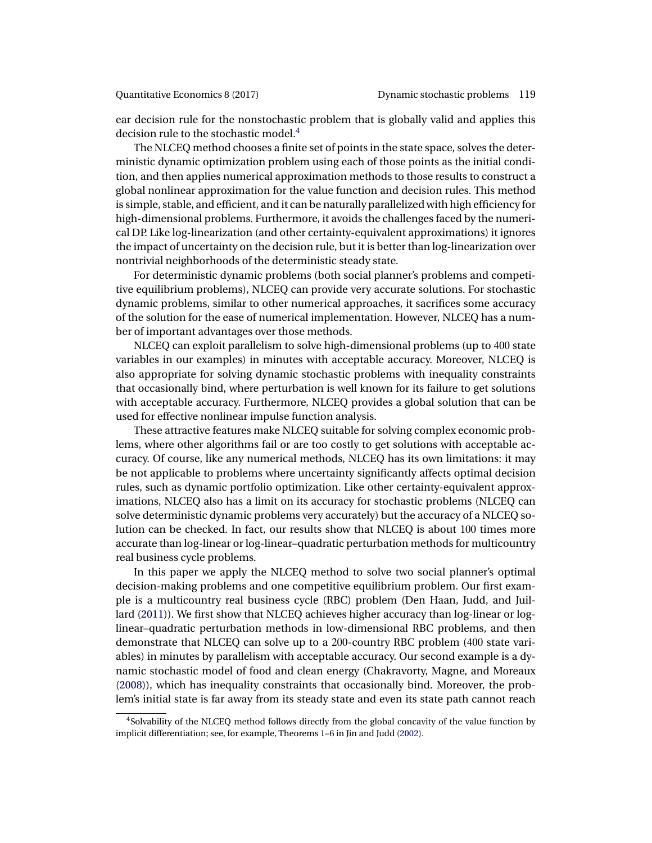<span id="page-2-0"></span>ear decision rule for the nonstochastic problem that is globally valid and applies this decision rule to the stochastic model.<sup>4</sup>

The NLCEQ method chooses a finite set of points in the state space, solves the deterministic dynamic optimization problem using each of those points as the initial condition, and then applies numerical approximation methods to those results to construct a global nonlinear approximation for the value function and decision rules. This method is simple, stable, and efficient, and it can be naturally parallelized with high efficiency for high-dimensional problems. Furthermore, it avoids the challenges faced by the numerical DP. Like log-linearization (and other certainty-equivalent approximations) it ignores the impact of uncertainty on the decision rule, but it is better than log-linearization over nontrivial neighborhoods of the deterministic steady state.

For deterministic dynamic problems (both social planner's problems and competitive equilibrium problems), NLCEQ can provide very accurate solutions. For stochastic dynamic problems, similar to other numerical approaches, it sacrifices some accuracy of the solution for the ease of numerical implementation. However, NLCEQ has a number of important advantages over those methods.

NLCEQ can exploit parallelism to solve high-dimensional problems (up to 400 state variables in our examples) in minutes with acceptable accuracy. Moreover, NLCEQ is also appropriate for solving dynamic stochastic problems with inequality constraints that occasionally bind, where perturbation is well known for its failure to get solutions with acceptable accuracy. Furthermore, NLCEQ provides a global solution that can be used for effective nonlinear impulse function analysis.

These attractive features make NLCEQ suitable for solving complex economic problems, where other algorithms fail or are too costly to get solutions with acceptable accuracy. Of course, like any numerical methods, NLCEQ has its own limitations: it may be not applicable to problems where uncertainty significantly affects optimal decision rules, such as dynamic portfolio optimization. Like other certainty-equivalent approximations, NLCEQ also has a limit on its accuracy for stochastic problems (NLCEQ can solve deterministic dynamic problems very accurately) but the accuracy of a NLCEQ solution can be checked. In fact, our results show that NLCEQ is about 100 times more accurate than log-linear or log-linear–quadratic perturbation methods for multicountry real business cycle problems.

In this paper we apply the NLCEQ method to solve two social planner's optimal decision-making problems and one competitive equilibrium problem. Our first example is a multicountry real business cycle (RBC) problem (Den Haan, Judd, and Juillard [\(2011\)](#page-28-0)). We first show that NLCEQ achieves higher accuracy than log-linear or loglinear–quadratic perturbation methods in low-dimensional RBC problems, and then demonstrate that NLCEQ can solve up to a 200-country RBC problem (400 state variables) in minutes by parallelism with acceptable accuracy. Our second example is a dynamic stochastic model of food and clean energy (Chakravorty, Magne, and Moreaux [\(2008\)](#page-28-0)), which has inequality constraints that occasionally bind. Moreover, the problem's initial state is far away from its steady state and even its state path cannot reach

<sup>4</sup>Solvability of the NLCEQ method follows directly from the global concavity of the value function by implicit differentiation; see, for example, Theorems 1–6 in Jin and Judd [\(2002\)](#page-29-0).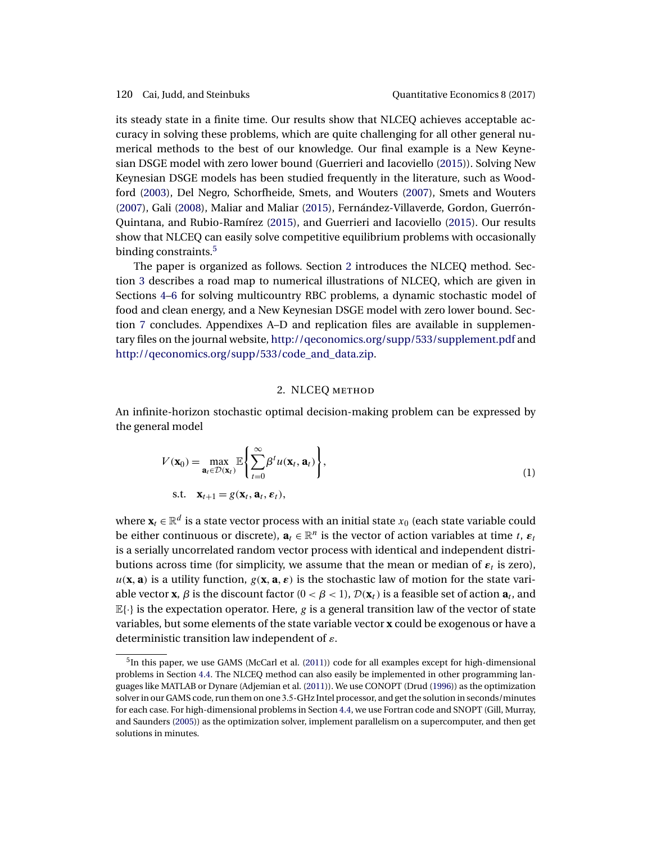<span id="page-3-0"></span>its steady state in a finite time. Our results show that NLCEQ achieves acceptable accuracy in solving these problems, which are quite challenging for all other general numerical methods to the best of our knowledge. Our final example is a New Keynesian DSGE model with zero lower bound (Guerrieri and Iacoviello [\(2015\)](#page-29-0)). Solving New Keynesian DSGE models has been studied frequently in the literature, such as Woodford [\(2003\)](#page-30-0), Del Negro, Schorfheide, Smets, and Wouters [\(2007\)](#page-28-0), Smets and Wouters [\(2007\)](#page-30-0), Gali [\(2008\)](#page-28-0), Maliar and Maliar [\(2015\)](#page-29-0), Fernández-Villaverde, Gordon, Guerrón-Quintana, and Rubio-Ramírez [\(2015\)](#page-28-0), and Guerrieri and Iacoviello [\(2015\)](#page-29-0). Our results show that NLCEQ can easily solve competitive equilibrium problems with occasionally binding constraints.<sup>5</sup>

The paper is organized as follows. Section 2 introduces the NLCEQ method. Section [3](#page-9-0) describes a road map to numerical illustrations of NLCEQ, which are given in Sections [4](#page-10-0)[–6](#page-22-0) for solving multicountry RBC problems, a dynamic stochastic model of food and clean energy, and a New Keynesian DSGE model with zero lower bound. Section [7](#page-26-0) concludes. Appendixes A–D and replication files are available in supplementary files on the journal website, <http://qeconomics.org/supp/533/supplement.pdf> and [http://qeconomics.org/supp/533/code\\_and\\_data.zip](http://qeconomics.org/supp/533/code_and_data.zip).

### 2. NLCEQ method

An infinite-horizon stochastic optimal decision-making problem can be expressed by the general model

$$
V(\mathbf{x}_0) = \max_{\mathbf{a}_t \in \mathcal{D}(\mathbf{x}_t)} \mathbb{E} \left\{ \sum_{t=0}^{\infty} \beta^t u(\mathbf{x}_t, \mathbf{a}_t) \right\},
$$
  
s.t.  $\mathbf{x}_{t+1} = g(\mathbf{x}_t, \mathbf{a}_t, \boldsymbol{\varepsilon}_t),$  (1)

where  $\mathbf{x}_t \in \mathbb{R}^d$  is a state vector process with an initial state  $x_0$  (each state variable could be either continuous or discrete),  $\mathbf{a}_t \in \mathbb{R}^n$  is the vector of action variables at time t,  $\mathbf{\varepsilon}_t$ is a serially uncorrelated random vector process with identical and independent distributions across time (for simplicity, we assume that the mean or median of  $\varepsilon_t$  is zero),  $u(\mathbf{x}, \mathbf{a})$  is a utility function,  $g(\mathbf{x}, \mathbf{a}, \varepsilon)$  is the stochastic law of motion for the state variable vector **x**,  $\beta$  is the discount factor ( $0 < \beta < 1$ ),  $\mathcal{D}(\mathbf{x}_t)$  is a feasible set of action  $\mathbf{a}_t$ , and  $\mathbb{E}\{\cdot\}$  is the expectation operator. Here, g is a general transition law of the vector of state variables, but some elements of the state variable vector **x** could be exogenous or have a deterministic transition law independent of  $\varepsilon$ .

<sup>&</sup>lt;sup>5</sup>In this paper, we use GAMS (McCarl et al. [\(2011\)](#page-29-0)) code for all examples except for high-dimensional problems in Section [4.4.](#page-15-0) The NLCEQ method can also easily be implemented in other programming languages like MATLAB or Dynare (Adjemian et al. [\(2011\)](#page-27-0)). We use CONOPT (Drud [\(1996\)](#page-28-0)) as the optimization solver in our GAMS code, run them on one 35-GHz Intel processor, and get the solution in seconds/minutes for each case. For high-dimensional problems in Section [4.4,](#page-15-0) we use Fortran code and SNOPT (Gill, Murray, and Saunders [\(2005\)](#page-28-0)) as the optimization solver, implement parallelism on a supercomputer, and then get solutions in minutes.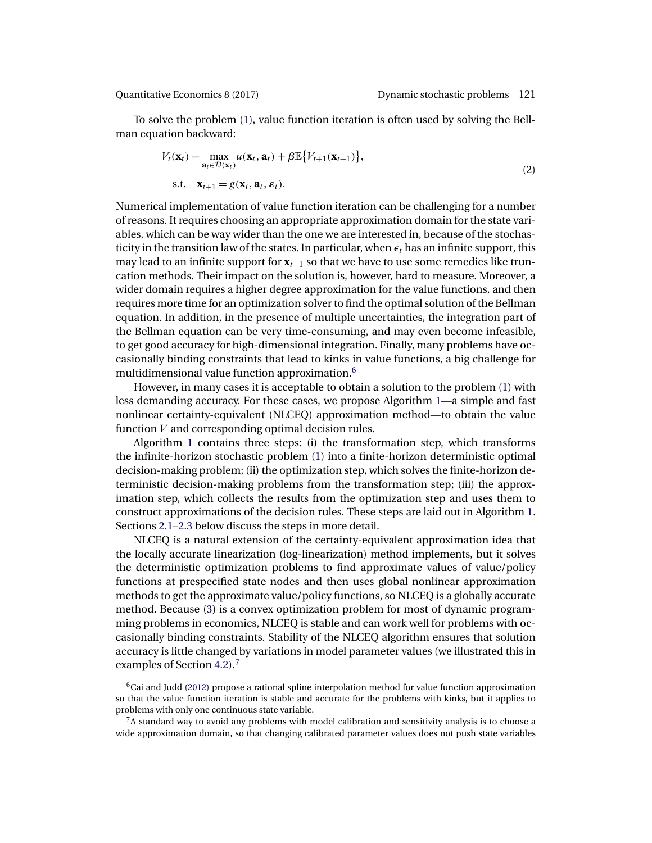<span id="page-4-0"></span>

To solve the problem [\(1\)](#page-3-0), value function iteration is often used by solving the Bellman equation backward:

$$
V_t(\mathbf{x}_t) = \max_{\mathbf{a}_t \in \mathcal{D}(\mathbf{x}_t)} u(\mathbf{x}_t, \mathbf{a}_t) + \beta \mathbb{E}\big\{V_{t+1}(\mathbf{x}_{t+1})\big\},
$$
  
s.t.  $\mathbf{x}_{t+1} = g(\mathbf{x}_t, \mathbf{a}_t, \boldsymbol{\varepsilon}_t).$  (2)

Numerical implementation of value function iteration can be challenging for a number of reasons. It requires choosing an appropriate approximation domain for the state variables, which can be way wider than the one we are interested in, because of the stochasticity in the transition law of the states. In particular, when  $\epsilon_t$  has an infinite support, this may lead to an infinite support for  $\mathbf{x}_{t+1}$  so that we have to use some remedies like truncation methods. Their impact on the solution is, however, hard to measure. Moreover, a wider domain requires a higher degree approximation for the value functions, and then requires more time for an optimization solver to find the optimal solution of the Bellman equation. In addition, in the presence of multiple uncertainties, the integration part of the Bellman equation can be very time-consuming, and may even become infeasible, to get good accuracy for high-dimensional integration. Finally, many problems have occasionally binding constraints that lead to kinks in value functions, a big challenge for multidimensional value function approximation.<sup>6</sup>

However, in many cases it is acceptable to obtain a solution to the problem [\(1\)](#page-3-0) with less demanding accuracy. For these cases, we propose Algorithm [1—](#page-5-0)a simple and fast nonlinear certainty-equivalent (NLCEQ) approximation method—to obtain the value function  $V$  and corresponding optimal decision rules.

Algorithm [1](#page-5-0) contains three steps: (i) the transformation step, which transforms the infinite-horizon stochastic problem [\(1\)](#page-3-0) into a finite-horizon deterministic optimal decision-making problem; (ii) the optimization step, which solves the finite-horizon deterministic decision-making problems from the transformation step; (iii) the approximation step, which collects the results from the optimization step and uses them to construct approximations of the decision rules. These steps are laid out in Algorithm [1.](#page-5-0) Sections [2.1–](#page-6-0)[2.3](#page-7-0) below discuss the steps in more detail.

NLCEQ is a natural extension of the certainty-equivalent approximation idea that the locally accurate linearization (log-linearization) method implements, but it solves the deterministic optimization problems to find approximate values of value/policy functions at prespecified state nodes and then uses global nonlinear approximation methods to get the approximate value/policy functions, so NLCEQ is a globally accurate method. Because [\(3\)](#page-5-0) is a convex optimization problem for most of dynamic programming problems in economics, NLCEQ is stable and can work well for problems with occasionally binding constraints. Stability of the NLCEQ algorithm ensures that solution accuracy is little changed by variations in model parameter values (we illustrated this in examples of Section [4.2\)](#page-13-0).<sup>7</sup>

 $6$ Cai and Judd [\(2012\)](#page-27-0) propose a rational spline interpolation method for value function approximation so that the value function iteration is stable and accurate for the problems with kinks, but it applies to problems with only one continuous state variable.

 $7A$  standard way to avoid any problems with model calibration and sensitivity analysis is to choose a wide approximation domain, so that changing calibrated parameter values does not push state variables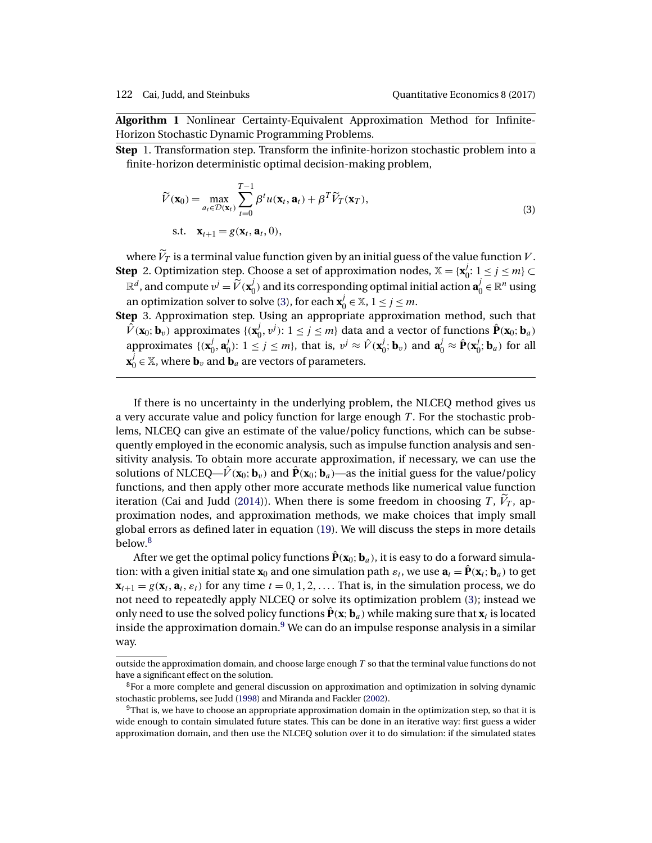<span id="page-5-0"></span>**Algorithm 1** Nonlinear Certainty-Equivalent Approximation Method for Infinite-Horizon Stochastic Dynamic Programming Problems.

**Step** 1. Transformation step. Transform the infinite-horizon stochastic problem into a finite-horizon deterministic optimal decision-making problem,

$$
\widetilde{V}(\mathbf{x}_0) = \max_{a_t \in \mathcal{D}(\mathbf{x}_t)} \sum_{t=0}^{T-1} \beta^t u(\mathbf{x}_t, \mathbf{a}_t) + \beta^T \widetilde{V}_T(\mathbf{x}_T),
$$
\ns.t.  $\mathbf{x}_{t+1} = g(\mathbf{x}_t, \mathbf{a}_t, 0),$ \n(3)

where  $V_T$  is a terminal value function given by an initial guess of the value function  $V.$ **Step** 2. Optimization step. Choose a set of approximation nodes,  $\mathbb{X} = \{ \mathbf{x}_0^j : 1 \le j \le m \} \subset$  $\mathbb{R}^d$ , and compute  $v^j=\widetilde V(\mathbf{x}^j_0)$  and its corresponding optimal initial action  $\mathbf{a}^j_0\in\mathbb{R}^n$  using an optimization solver to solve (3), for each  $\mathbf{x}_0^j \in \mathbb{X}$ ,  $1 \le j \le m$ .

**Step** 3. Approximation step. Using an appropriate approximation method, such that  $\hat{V}(\mathbf{x}_0; \mathbf{b}_v)$  approximates  $\{(\mathbf{x}'_0, v^j): 1 \le j \le m\}$  data and a vector of functions  $\hat{\mathbf{P}}(\mathbf{x}_0; \mathbf{b}_a)$ approximates  $\{(\mathbf{x}_0^j, \mathbf{a}_0^j): 1 \le j \le m\}$ , that is,  $v^j \approx \hat{V}(\mathbf{x}_0^j; \mathbf{b}_v)$  and  $\mathbf{a}_0^j \approx \hat{\mathbf{P}}(\mathbf{x}_0^j; \mathbf{b}_a)$  for all  $\mathbf{x}_0^j \in \mathbb{X}$ , where  $\mathbf{b}_v$  and  $\mathbf{b}_a$  are vectors of parameters.

If there is no uncertainty in the underlying problem, the NLCEQ method gives us a very accurate value and policy function for large enough T. For the stochastic problems, NLCEQ can give an estimate of the value/policy functions, which can be subsequently employed in the economic analysis, such as impulse function analysis and sensitivity analysis. To obtain more accurate approximation, if necessary, we can use the solutions of NLCEQ— $\hat{V}(\mathbf{x}_0; \mathbf{b}_v)$  and  $\hat{P}(\mathbf{x}_0; \mathbf{b}_a)$ —as the initial guess for the value/policy functions, and then apply other more accurate methods like numerical value function iteration (Cai and Judd [\(2014\)](#page-27-0)). When there is some freedom in choosing  $T$ ,  $V_T$ , approximation nodes, and approximation methods, we make choices that imply small global errors as defined later in equation [\(19\)](#page-13-0). We will discuss the steps in more details below.<sup>8</sup>

After we get the optimal policy functions  $\hat{P}(x_0; b_a)$ , it is easy to do a forward simulation: with a given initial state  $\mathbf{x}_0$  and one simulation path  $\varepsilon_t$ , we use  $\mathbf{a}_t = \hat{\mathbf{P}}(\mathbf{x}_t; \mathbf{b}_a)$  to get  $\mathbf{x}_{t+1} = g(\mathbf{x}_t, \mathbf{a}_t, \varepsilon_t)$  for any time  $t = 0, 1, 2, \dots$  That is, in the simulation process, we do not need to repeatedly apply NLCEQ or solve its optimization problem (3); instead we only need to use the solved policy functions  $\hat{P}(\mathbf{x}; \mathbf{b}_a)$  while making sure that  $\mathbf{x}_t$  is located inside the approximation domain.<sup>9</sup> We can do an impulse response analysis in a similar way.

outside the approximation domain, and choose large enough  $T$  so that the terminal value functions do not have a significant effect on the solution.

<sup>&</sup>lt;sup>8</sup>For a more complete and general discussion on approximation and optimization in solving dynamic stochastic problems, see Judd [\(1998\)](#page-29-0) and Miranda and Fackler [\(2002\)](#page-29-0).

 $9$ That is, we have to choose an appropriate approximation domain in the optimization step, so that it is wide enough to contain simulated future states. This can be done in an iterative way: first guess a wider approximation domain, and then use the NLCEQ solution over it to do simulation: if the simulated states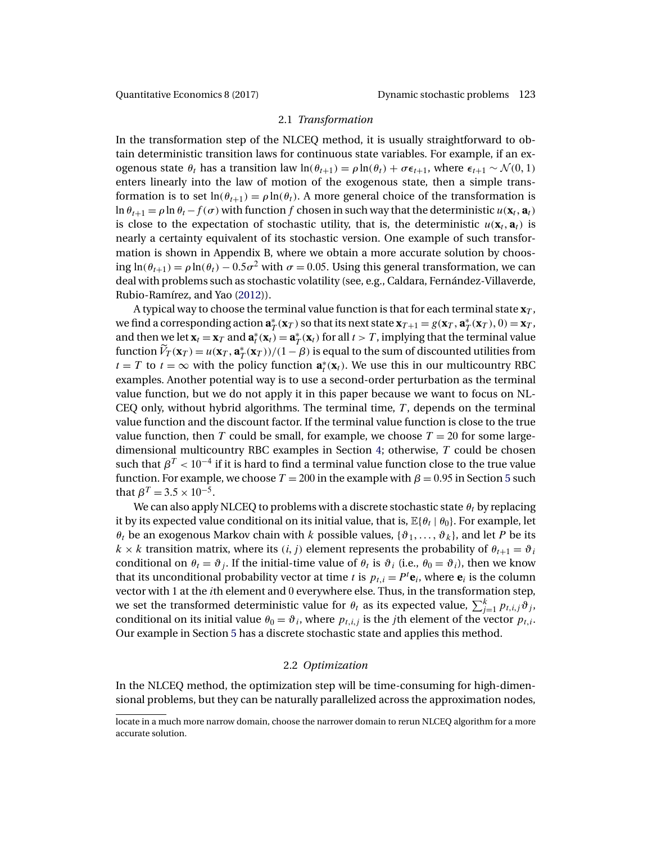### 2.1 *Transformation*

<span id="page-6-0"></span>In the transformation step of the NLCEQ method, it is usually straightforward to obtain deterministic transition laws for continuous state variables. For example, if an exogenous state  $\theta_t$  has a transition law ln( $\theta_{t+1}$ ) =  $\rho \ln(\theta_t) + \sigma \epsilon_{t+1}$ , where  $\epsilon_{t+1} \sim \mathcal{N}(0, 1)$ enters linearly into the law of motion of the exogenous state, then a simple transformation is to set  $ln(\theta_{t+1}) = \rho ln(\theta_t)$ . A more general choice of the transformation is  $\ln \theta_{t+1} = \rho \ln \theta_t - f(\sigma)$  with function f chosen in such way that the deterministic  $u(\mathbf{x}_t, \mathbf{a}_t)$ is close to the expectation of stochastic utility, that is, the deterministic  $u(\mathbf{x}_t, \mathbf{a}_t)$  is nearly a certainty equivalent of its stochastic version. One example of such transformation is shown in Appendix B, where we obtain a more accurate solution by choosing  $ln(\theta_{t+1}) = \rho ln(\theta_t) - 0.5\sigma^2$  with  $\sigma = 0.05$ . Using this general transformation, we can deal with problems such as stochastic volatility (see, e.g., Caldara, Fernández-Villaverde, Rubio-Ramírez, and Yao [\(2012\)](#page-28-0)).

A typical way to choose the terminal value function is that for each terminal state  $\mathbf{x}_T$ , we find a corresponding action  $\mathbf{a}_T^*(\mathbf{x}_T)$  so that its next state  $\mathbf{x}_{T+1} = g(\mathbf{x}_T, \mathbf{a}_T^*(\mathbf{x}_T), 0) = \mathbf{x}_T$ , and then we let  $\mathbf{x}_t = \mathbf{x}_T$  and  $\mathbf{a}_t^*(\mathbf{x}_t) = \mathbf{a}_T^*(\mathbf{x}_t)$  for all  $t > T$ , implying that the terminal value function  $\widetilde{V}_T(\mathbf{x}_T) = u(\mathbf{x}_T, \mathbf{a}_T^*(\mathbf{x}_T))/(1-\beta)$  is equal to the sum of discounted utilities from  $t = T$  to  $t = \infty$  with the policy function  $\mathbf{a}_t^*(\mathbf{x}_t)$ . We use this in our multicountry RBC examples. Another potential way is to use a second-order perturbation as the terminal value function, but we do not apply it in this paper because we want to focus on NL-CEQ only, without hybrid algorithms. The terminal time,  $T$ , depends on the terminal value function and the discount factor. If the terminal value function is close to the true value function, then T could be small, for example, we choose  $T = 20$  for some largedimensional multicountry RBC examples in Section [4;](#page-10-0) otherwise, T could be chosen such that  $\beta^T < 10^{-4}$  if it is hard to find a terminal value function close to the true value function. For example, we choose  $T = 200$  in the example with  $\beta = 0.95$  $\beta = 0.95$  in Section 5 such that  $\beta^T = 3.5 \times 10^{-5}$ .

We can also apply NLCEQ to problems with a discrete stochastic state  $\theta_t$  by replacing it by its expected value conditional on its initial value, that is,  $\mathbb{E}\{\theta_t | \theta_0\}$ . For example, let  $\theta_t$  be an exogenous Markov chain with k possible values,  $\{\vartheta_1, \ldots, \vartheta_k\}$ , and let P be its  $k \times k$  transition matrix, where its  $(i, j)$  element represents the probability of  $\theta_{t+1} = \vartheta_i$ conditional on  $\theta_t = \vartheta_i$ . If the initial-time value of  $\theta_t$  is  $\vartheta_i$  (i.e.,  $\theta_0 = \vartheta_i$ ), then we know that its unconditional probability vector at time *t* is  $p_{t,i} = P^t \mathbf{e}_i$ , where  $\mathbf{e}_i$  is the column vector with 1 at the ith element and 0 everywhere else. Thus, in the transformation step, we set the transformed deterministic value for  $\theta_t$  as its expected value,  $\sum_{j=1}^k p_{t,i,j} \vartheta_j$ , conditional on its initial value  $\theta_0 = \vartheta_i$ , where  $p_{t,i,j}$  is the jth element of the vector  $p_{t,i}$ . Our example in Section [5](#page-17-0) has a discrete stochastic state and applies this method.

#### 2.2 *Optimization*

In the NLCEQ method, the optimization step will be time-consuming for high-dimensional problems, but they can be naturally parallelized across the approximation nodes,

locate in a much more narrow domain, choose the narrower domain to rerun NLCEQ algorithm for a more accurate solution.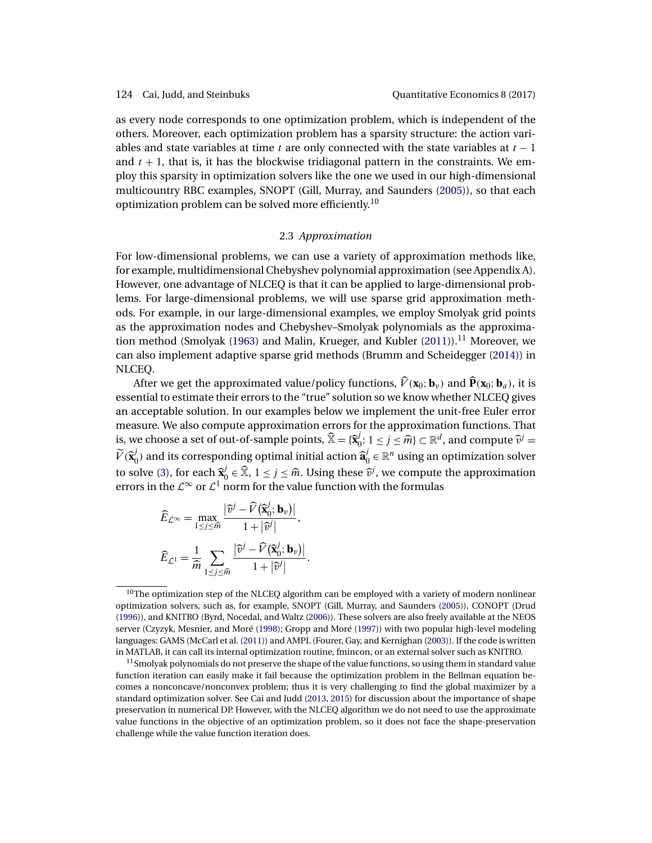<span id="page-7-0"></span>as every node corresponds to one optimization problem, which is independent of the others. Moreover, each optimization problem has a sparsity structure: the action variables and state variables at time t are only connected with the state variables at  $t - 1$ and  $t + 1$ , that is, it has the blockwise tridiagonal pattern in the constraints. We employ this sparsity in optimization solvers like the one we used in our high-dimensional multicountry RBC examples, SNOPT (Gill, Murray, and Saunders [\(2005\)](#page-28-0)), so that each optimization problem can be solved more efficiently.<sup>10</sup>

# 2.3 *Approximation*

For low-dimensional problems, we can use a variety of approximation methods like, for example, multidimensional Chebyshev polynomial approximation (see Appendix A). However, one advantage of NLCEQ is that it can be applied to large-dimensional problems. For large-dimensional problems, we will use sparse grid approximation methods. For example, in our large-dimensional examples, we employ Smolyak grid points as the approximation nodes and Chebyshev–Smolyak polynomials as the approxima-tion method (Smolyak [\(1963\)](#page-30-0) and Malin, Krueger, and Kubler [\(2011\)](#page-29-0)).<sup>11</sup> Moreover, we can also implement adaptive sparse grid methods (Brumm and Scheidegger [\(2014\)](#page-27-0)) in NLCEQ.

After we get the approximated value/policy functions,  $\hat{V}(\mathbf{x}_0; \mathbf{b}_v)$  and  $\hat{P}(\mathbf{x}_0; \mathbf{b}_a)$ , it is essential to estimate their errors to the "true" solution so we know whether NLCEQ gives an acceptable solution. In our examples below we implement the unit-free Euler error measure. We also compute approximation errors for the approximation functions. That is, we choose a set of out-of-sample points,  $\widehat{\mathbb{X}} = {\widehat{\mathbf{x}}_0}^j : 1 \le j \le \widehat{m} \} \subset \mathbb{R}^d$ , and compute  $\widehat{v}^j = \widetilde{v}^j$  $\widetilde{V}(\widehat{\mathbf{x}}_0^j)$  and its corresponding optimal initial action  $\widehat{\mathbf{a}}_0^j \in \mathbb{R}^n$  using an optimization solver to solve [\(3\)](#page-5-0), for each  $\hat{\mathbf{x}}_0^j \in \hat{\mathbb{X}}$ ,  $1 \le j \le \hat{m}$ . Using these  $\hat{v}^j$ , we compute the approximation errors in the  $\mathcal{L}^{\infty}$  or  $\mathcal{L}^{1}$  norm for the value function with the formulas

$$
\widehat{E}_{\mathcal{L}^{\infty}} = \max_{1 \leq j \leq \widehat{m}} \frac{\left| \widehat{v}^{j} - \widehat{V}(\widehat{\mathbf{x}}_{0}^{j}; \mathbf{b}_{v}) \right|}{1 + \left| \widehat{v}^{j} \right|},
$$

$$
\widehat{E}_{\mathcal{L}^{1}} = \frac{1}{\widehat{m}} \sum_{1 \leq j \leq \widehat{m}} \frac{\left| \widehat{v}^{j} - \widehat{V}(\widehat{\mathbf{x}}_{0}^{j}; \mathbf{b}_{v}) \right|}{1 + \left| \widehat{v}^{j} \right|}.
$$

 $10$ The optimization step of the NLCEQ algorithm can be employed with a variety of modern nonlinear optimization solvers, such as, for example, SNOPT (Gill, Murray, and Saunders [\(2005\)](#page-28-0)), CONOPT (Drud [\(1996\)](#page-28-0)), and KNITRO (Byrd, Nocedal, and Waltz [\(2006\)](#page-27-0)). These solvers are also freely available at the NEOS server (Czyzyk, Mesnier, and Moré [\(1998\)](#page-28-0); Gropp and Moré [\(1997\)](#page-28-0)) with two popular high-level modeling languages: GAMS (McCarl et al. [\(2011\)](#page-29-0)) and AMPL (Fourer, Gay, and Kernighan [\(2003\)](#page-28-0)). If the code is written in MATLAB, it can call its internal optimization routine, fmincon, or an external solver such as KNITRO.

 $11$ Smolyak polynomials do not preserve the shape of the value functions, so using them in standard value function iteration can easily make it fail because the optimization problem in the Bellman equation becomes a nonconcave/nonconvex problem; thus it is very challenging to find the global maximizer by a standard optimization solver. See Cai and Judd [\(2013,](#page-27-0) [2015\)](#page-27-0) for discussion about the importance of shape preservation in numerical DP. However, with the NLCEQ algorithm we do not need to use the approximate value functions in the objective of an optimization problem, so it does not face the shape-preservation challenge while the value function iteration does.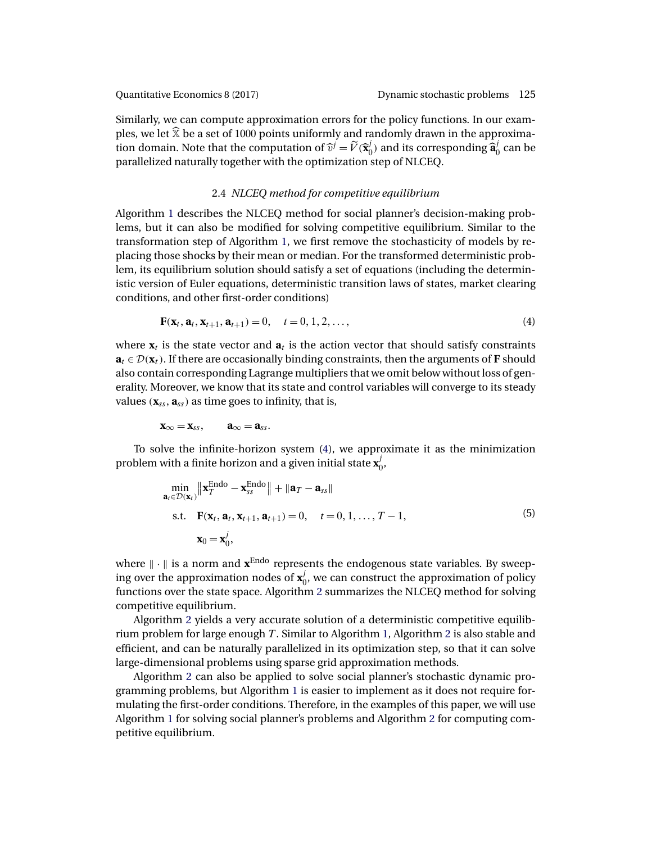<span id="page-8-0"></span>

Similarly, we can compute approximation errors for the policy functions. In our examples, we let  $\hat{\mathbb{X}}$  be a set of 1000 points uniformly and randomly drawn in the approximation domain. Note that the computation of  $\hat{v}^j = \tilde{V}(\hat{x}_0^j)$  and its corresponding  $\hat{a}_0^j$  can be parallelized naturally together with the optimization step of NLCEQ.

# 2.4 *NLCEQ method for competitive equilibrium*

Algorithm [1](#page-5-0) describes the NLCEQ method for social planner's decision-making problems, but it can also be modified for solving competitive equilibrium. Similar to the transformation step of Algorithm [1,](#page-5-0) we first remove the stochasticity of models by replacing those shocks by their mean or median. For the transformed deterministic problem, its equilibrium solution should satisfy a set of equations (including the deterministic version of Euler equations, deterministic transition laws of states, market clearing conditions, and other first-order conditions)

$$
\mathbf{F}(\mathbf{x}_t, \mathbf{a}_t, \mathbf{x}_{t+1}, \mathbf{a}_{t+1}) = 0, \quad t = 0, 1, 2, \dots,
$$
\n(4)

where  $\mathbf{x}_t$  is the state vector and  $\mathbf{a}_t$  is the action vector that should satisfy constraints  $a_t \in \mathcal{D}(\mathbf{x}_t)$ . If there are occasionally binding constraints, then the arguments of **F** should also contain corresponding Lagrange multipliers that we omit below without loss of generality. Moreover, we know that its state and control variables will converge to its steady values  $(\mathbf{x}_{ss}, \mathbf{a}_{ss})$  as time goes to infinity, that is,

$$
\boldsymbol{x}_\infty = \boldsymbol{x}_{ss}, \qquad \boldsymbol{a}_\infty = \boldsymbol{a}_{ss}.
$$

To solve the infinite-horizon system (4), we approximate it as the minimization problem with a finite horizon and a given initial state  $\mathbf{x}_0^j$ ,

$$
\min_{\mathbf{a}_t \in \mathcal{D}(\mathbf{x}_t)} \|\mathbf{x}_T^{\text{Endo}} - \mathbf{x}_{ss}^{\text{Endo}}\| + \|\mathbf{a}_T - \mathbf{a}_{ss}\|
$$
\ns.t.  $\mathbf{F}(\mathbf{x}_t, \mathbf{a}_t, \mathbf{x}_{t+1}, \mathbf{a}_{t+1}) = 0, \quad t = 0, 1, ..., T - 1,$ \n
$$
\mathbf{x}_0 = \mathbf{x}_0^j,
$$
\n(5)

where  $\|\cdot\|$  is a norm and  $\mathbf{x}^{Endo}$  represents the endogenous state variables. By sweeping over the approximation nodes of  $\mathbf{x}_0^j$ , we can construct the approximation of policy functions over the state space. Algorithm [2](#page-9-0) summarizes the NLCEQ method for solving competitive equilibrium.

Algorithm [2](#page-9-0) yields a very accurate solution of a deterministic competitive equilibrium problem for large enough T. Similar to Algorithm [1,](#page-5-0) Algorithm [2](#page-9-0) is also stable and efficient, and can be naturally parallelized in its optimization step, so that it can solve large-dimensional problems using sparse grid approximation methods.

Algorithm [2](#page-9-0) can also be applied to solve social planner's stochastic dynamic programming problems, but Algorithm [1](#page-5-0) is easier to implement as it does not require formulating the first-order conditions. Therefore, in the examples of this paper, we will use Algorithm [1](#page-5-0) for solving social planner's problems and Algorithm [2](#page-9-0) for computing competitive equilibrium.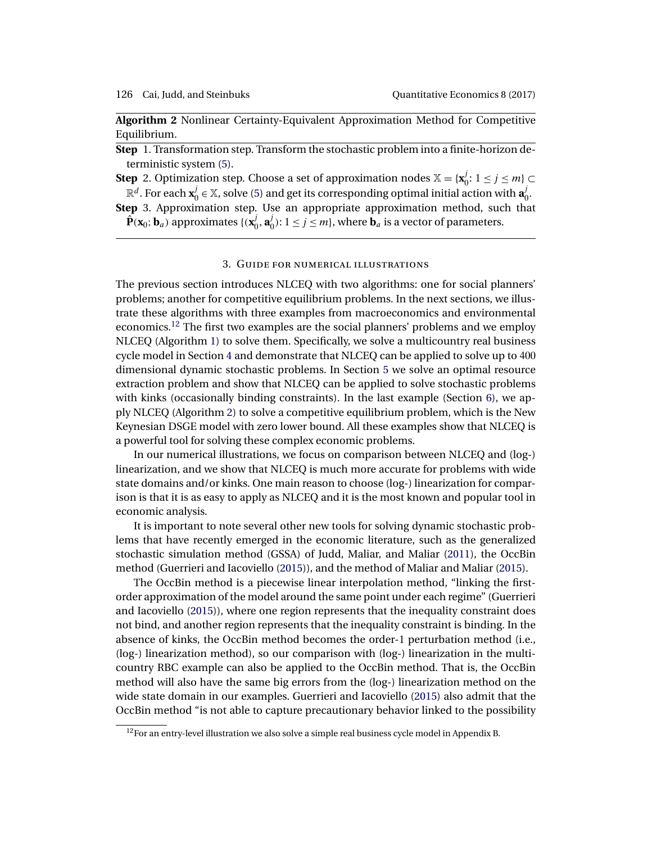<span id="page-9-0"></span>**Algorithm 2** Nonlinear Certainty-Equivalent Approximation Method for Competitive Equilibrium.

**Step** 1. Transformation step. Transform the stochastic problem into a finite-horizon deterministic system [\(5\)](#page-8-0).

**Step** 2. Optimization step. Choose a set of approximation nodes  $\mathbb{X} = \{ \mathbf{x}_0^j : 1 \le j \le m \} \subset$  $\mathbb{R}^d$ . For each  $\mathbf{x}_0^j \in \mathbb{X}$ , solve [\(5\)](#page-8-0) and get its corresponding optimal initial action with  $\mathbf{a}_0^j$ .

**Step** 3. Approximation step. Use an appropriate approximation method, such that  $\hat{\mathbf{P}}(\mathbf{x}_0; \mathbf{b}_a)$  approximates  $\{(\mathbf{x}_0^j, \mathbf{a}_0^j) : 1 \le j \le m\}$ , where  $\mathbf{b}_a$  is a vector of parameters.

#### 3. Guide for numerical illustrations

The previous section introduces NLCEQ with two algorithms: one for social planners' problems; another for competitive equilibrium problems. In the next sections, we illustrate these algorithms with three examples from macroeconomics and environmental economics.<sup>12</sup> The first two examples are the social planners' problems and we employ NLCEQ (Algorithm [1\)](#page-5-0) to solve them. Specifically, we solve a multicountry real business cycle model in Section [4](#page-10-0) and demonstrate that NLCEQ can be applied to solve up to 400 dimensional dynamic stochastic problems. In Section [5](#page-17-0) we solve an optimal resource extraction problem and show that NLCEQ can be applied to solve stochastic problems with kinks (occasionally binding constraints). In the last example (Section [6\)](#page-22-0), we apply NLCEQ (Algorithm 2) to solve a competitive equilibrium problem, which is the New Keynesian DSGE model with zero lower bound. All these examples show that NLCEQ is a powerful tool for solving these complex economic problems.

In our numerical illustrations, we focus on comparison between NLCEQ and (log-) linearization, and we show that NLCEQ is much more accurate for problems with wide state domains and/or kinks. One main reason to choose (log-) linearization for comparison is that it is as easy to apply as NLCEQ and it is the most known and popular tool in economic analysis.

It is important to note several other new tools for solving dynamic stochastic problems that have recently emerged in the economic literature, such as the generalized stochastic simulation method (GSSA) of Judd, Maliar, and Maliar [\(2011\)](#page-29-0), the OccBin method (Guerrieri and Iacoviello [\(2015\)](#page-29-0)), and the method of Maliar and Maliar [\(2015\)](#page-29-0).

The OccBin method is a piecewise linear interpolation method, "linking the firstorder approximation of the model around the same point under each regime" (Guerrieri and Iacoviello [\(2015\)](#page-29-0)), where one region represents that the inequality constraint does not bind, and another region represents that the inequality constraint is binding. In the absence of kinks, the OccBin method becomes the order-1 perturbation method (i.e., (log-) linearization method), so our comparison with (log-) linearization in the multicountry RBC example can also be applied to the OccBin method. That is, the OccBin method will also have the same big errors from the (log-) linearization method on the wide state domain in our examples. Guerrieri and Iacoviello [\(2015\)](#page-29-0) also admit that the OccBin method "is not able to capture precautionary behavior linked to the possibility

 $12$ For an entry-level illustration we also solve a simple real business cycle model in Appendix B.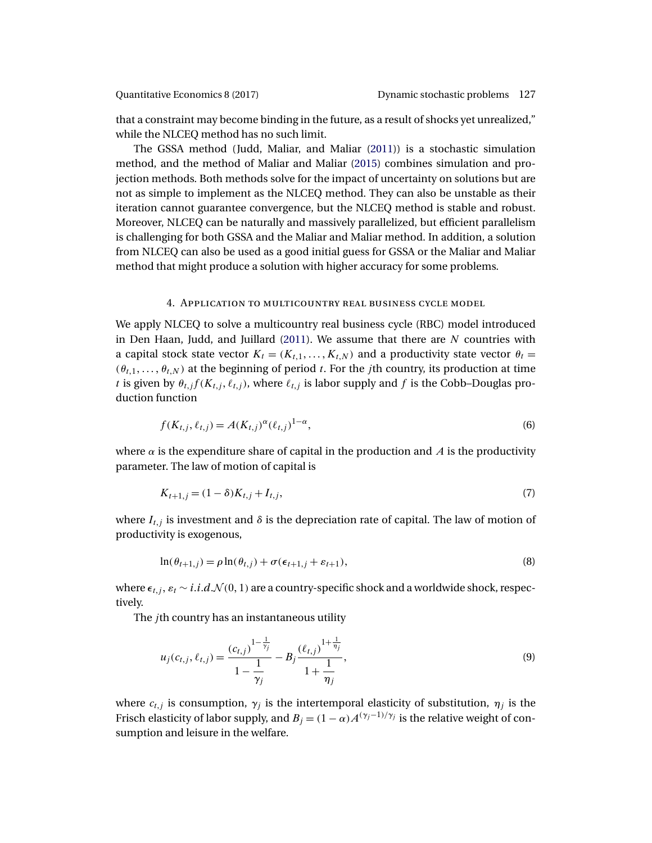<span id="page-10-0"></span>that a constraint may become binding in the future, as a result of shocks yet unrealized," while the NLCEQ method has no such limit.

The GSSA method (Judd, Maliar, and Maliar [\(2011\)](#page-29-0)) is a stochastic simulation method, and the method of Maliar and Maliar [\(2015\)](#page-29-0) combines simulation and projection methods. Both methods solve for the impact of uncertainty on solutions but are not as simple to implement as the NLCEQ method. They can also be unstable as their iteration cannot guarantee convergence, but the NLCEQ method is stable and robust. Moreover, NLCEQ can be naturally and massively parallelized, but efficient parallelism is challenging for both GSSA and the Maliar and Maliar method. In addition, a solution from NLCEQ can also be used as a good initial guess for GSSA or the Maliar and Maliar method that might produce a solution with higher accuracy for some problems.

#### 4. Application to multicountry real business cycle model

We apply NLCEQ to solve a multicountry real business cycle (RBC) model introduced in Den Haan, Judd, and Juillard [\(2011\)](#page-28-0). We assume that there are  $N$  countries with a capital stock state vector  $K_t = (K_{t,1}, \ldots, K_{t,N})$  and a productivity state vector  $\theta_t =$  $(\theta_{t,1},\ldots,\theta_{t,N})$  at the beginning of period t. For the jth country, its production at time t is given by  $\theta_{t,j} f(K_{t,j}, \ell_{t,j})$ , where  $\ell_{t,j}$  is labor supply and f is the Cobb–Douglas production function

$$
f(K_{t,j}, \ell_{t,j}) = A(K_{t,j})^{\alpha} (\ell_{t,j})^{1-\alpha},
$$
\n(6)

where  $\alpha$  is the expenditure share of capital in the production and A is the productivity parameter. The law of motion of capital is

$$
K_{t+1,j} = (1 - \delta)K_{t,j} + I_{t,j},\tag{7}
$$

where  $I_{t,j}$  is investment and  $\delta$  is the depreciation rate of capital. The law of motion of productivity is exogenous,

$$
\ln(\theta_{t+1,j}) = \rho \ln(\theta_{t,j}) + \sigma(\epsilon_{t+1,j} + \epsilon_{t+1}),
$$
\n(8)

where  $\epsilon_{t,i}$ ,  $\varepsilon_t \sim i.i.d.\mathcal{N}(0, 1)$  are a country-specific shock and a worldwide shock, respectively.

The jth country has an instantaneous utility

$$
u_j(c_{t,j}, \ell_{t,j}) = \frac{(c_{t,j})^{1 - \frac{1}{\gamma_j}}}{1 - \frac{1}{\gamma_j}} - B_j \frac{(\ell_{t,j})^{1 + \frac{1}{\eta_j}}}{1 + \frac{1}{\eta_j}},
$$
\n(9)

where  $c_{t,j}$  is consumption,  $\gamma_j$  is the intertemporal elasticity of substitution,  $\eta_j$  is the Frisch elasticity of labor supply, and  $B_i = (1 - \alpha) A^{(\gamma_i - 1)/\gamma_i}$  is the relative weight of consumption and leisure in the welfare.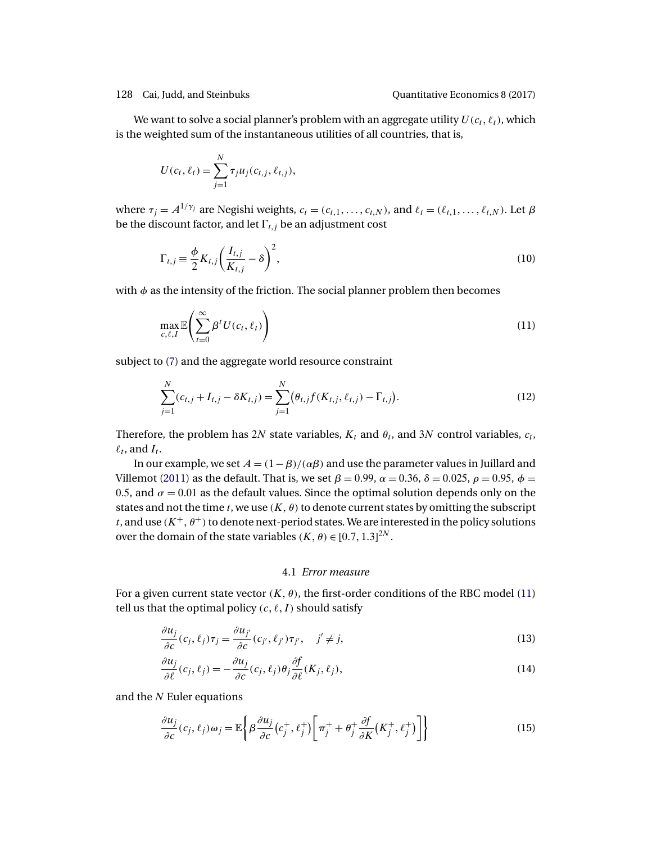#### <span id="page-11-0"></span>128 Cai, Judd, and Steinbuks Quantitative Economics 8 (2017)

We want to solve a social planner's problem with an aggregate utility  $U(c_t, \ell_t)$ , which is the weighted sum of the instantaneous utilities of all countries, that is,

$$
U(c_t, \ell_t) = \sum_{j=1}^{N} \tau_j u_j(c_{t,j}, \ell_{t,j}),
$$

where  $\tau_i = A^{1/\gamma_j}$  are Negishi weights,  $c_t = (c_{t,1}, \ldots, c_{t,N})$ , and  $\ell_t = (\ell_{t,1}, \ldots, \ell_{t,N})$ . Let  $\beta$ be the discount factor, and let  $\Gamma_{t,j}$  be an adjustment cost

$$
\Gamma_{t,j} \equiv \frac{\phi}{2} K_{t,j} \left( \frac{I_{t,j}}{K_{t,j}} - \delta \right)^2,\tag{10}
$$

with  $\phi$  as the intensity of the friction. The social planner problem then becomes

$$
\max_{c,\ell,I} \mathbb{E}\left(\sum_{t=0}^{\infty} \beta^t U(c_t,\ell_t)\right) \tag{11}
$$

subject to [\(7\)](#page-10-0) and the aggregate world resource constraint

$$
\sum_{j=1}^{N} (c_{t,j} + I_{t,j} - \delta K_{t,j}) = \sum_{j=1}^{N} (\theta_{t,j} f(K_{t,j}, \ell_{t,j}) - \Gamma_{t,j}).
$$
\n(12)

Therefore, the problem has 2N state variables,  $K_t$  and  $\theta_t$ , and 3N control variables,  $c_t$ ,  $\ell_t$ , and  $I_t$ .

In our example, we set  $A = (1 - \beta)/(\alpha \beta)$  and use the parameter values in Juillard and Villemot [\(2011\)](#page-29-0) as the default. That is, we set  $\beta = 0.99$ ,  $\alpha = 0.36$ ,  $\delta = 0.025$ ,  $\rho = 0.95$ ,  $\phi =$ 0.5, and  $\sigma = 0.01$  as the default values. Since the optimal solution depends only on the states and not the time t, we use  $(K, \theta)$  to denote current states by omitting the subscript t, and use  $(K^+, \theta^+)$  to denote next-period states. We are interested in the policy solutions over the domain of the state variables  $(K, \theta) \in [0.7, 1.3]^{2N}$ .

### 4.1 *Error measure*

For a given current state vector  $(K, \theta)$ , the first-order conditions of the RBC model (11) tell us that the optimal policy  $(c, \ell, I)$  should satisfy

$$
\frac{\partial u_j}{\partial c}(c_j, \ell_j)\tau_j = \frac{\partial u_{j'}}{\partial c}(c_{j'}, \ell_{j'})\tau_{j'}, \quad j' \neq j,
$$
\n(13)

$$
\frac{\partial u_j}{\partial \ell}(c_j, \ell_j) = -\frac{\partial u_j}{\partial c}(c_j, \ell_j)\theta_j \frac{\partial f}{\partial \ell}(K_j, \ell_j),\tag{14}
$$

and the N Euler equations

$$
\frac{\partial u_j}{\partial c}(c_j, \ell_j) \omega_j = \mathbb{E}\left\{\beta \frac{\partial u_j}{\partial c}(c_j^+, \ell_j^+) \left[\pi_j^+ + \theta_j^+ \frac{\partial f}{\partial K}(K_j^+, \ell_j^+) \right] \right\}
$$
(15)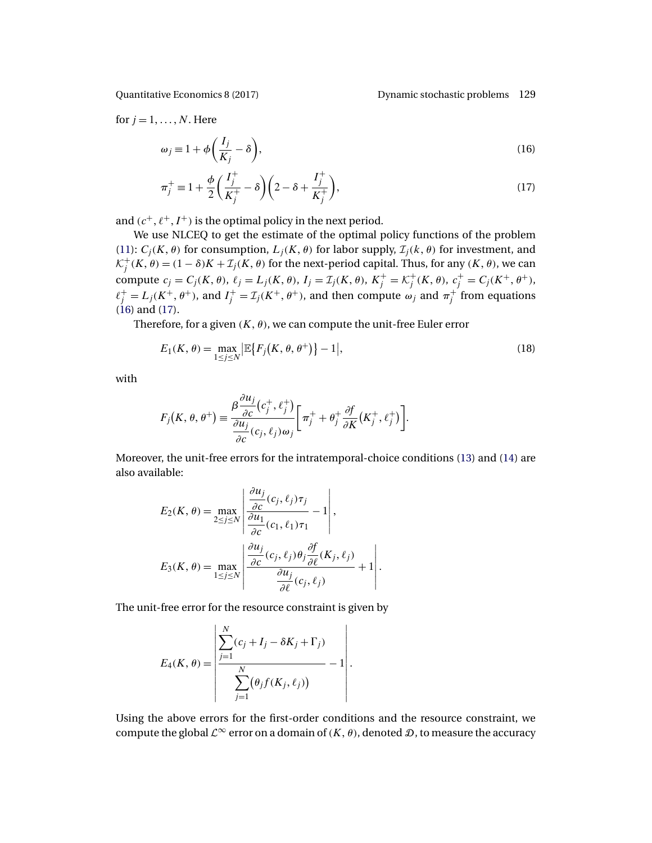<span id="page-12-0"></span>

for  $j = 1, \ldots, N$ . Here

$$
\omega_j \equiv 1 + \phi \left( \frac{I_j}{K_j} - \delta \right),\tag{16}
$$

$$
\pi_j^+ \equiv 1 + \frac{\phi}{2} \left( \frac{I_j^+}{K_j^+} - \delta \right) \left( 2 - \delta + \frac{I_j^+}{K_j^+} \right),\tag{17}
$$

and  $(c^+, \ell^+, I^+)$  is the optimal policy in the next period.

We use NLCEQ to get the estimate of the optimal policy functions of the problem [\(11\)](#page-11-0):  $C_i(K, \theta)$  for consumption,  $L_i(K, \theta)$  for labor supply,  $\mathcal{I}_i(k, \theta)$  for investment, and  $\mathcal{K}_j^+(K, \theta) = (1 - \delta)K + \mathcal{I}_j(K, \theta)$  for the next-period capital. Thus, for any  $(K, \theta)$ , we can compute  $c_j = C_j(K, \theta)$ ,  $\ell_j = L_j(K, \theta)$ ,  $I_j = \mathcal{I}_j(K, \theta)$ ,  $K_j^+ = \mathcal{K}_j^+(K, \theta)$ ,  $c_j^+ = C_j(K^+, \theta^+)$ ,  $\ell_j^+ = L_j(K^+, \theta^+)$ , and  $I_j^+ = \mathcal{I}_j(K^+, \theta^+)$ , and then compute  $\omega_j$  and  $\pi_j^+$  from equations  $(16)$  and  $(17)$ .

Therefore, for a given  $(K, \theta)$ , we can compute the unit-free Euler error

$$
E_1(K,\theta) = \max_{1 \le j \le N} \left| \mathbb{E} \{ F_j(K,\theta,\theta^+) \} - 1 \right|,
$$
 (18)

with

$$
F_j(K, \theta, \theta^+) \equiv \frac{\beta \frac{\partial u_j}{\partial c} (c_j^+, \ell_j^+)}{\frac{\partial u_j}{\partial c} (c_j, \ell_j) \omega_j} \bigg[ \pi_j^+ + \theta_j^+ \frac{\partial f}{\partial K} (K_j^+, \ell_j^+) \bigg].
$$

Moreover, the unit-free errors for the intratemporal-choice conditions [\(13\)](#page-11-0) and [\(14\)](#page-11-0) are also available:

$$
E_2(K, \theta) = \max_{2 \le j \le N} \left| \frac{\frac{\partial u_j}{\partial c}(c_j, \ell_j)\tau_j}{\frac{\partial u_1}{\partial c}(c_1, \ell_1)\tau_1} - 1 \right|,
$$
  

$$
E_3(K, \theta) = \max_{1 \le j \le N} \left| \frac{\frac{\partial u_j}{\partial c}(c_j, \ell_j)\theta_j \frac{\partial f}{\partial \ell}(K_j, \ell_j)}{\frac{\partial u_j}{\partial \ell}(c_j, \ell_j)} + 1 \right|.
$$

The unit-free error for the resource constraint is given by

$$
E_4(K,\theta) = \left| \frac{\sum_{j=1}^N (c_j + I_j - \delta K_j + \Gamma_j)}{\sum_{j=1}^N (\theta_j f(K_j,\ell_j))} - 1 \right|.
$$

Using the above errors for the first-order conditions and the resource constraint, we compute the global  $\mathcal{L}^{\infty}$  error on a domain of  $(K, \theta)$ , denoted  $\mathcal{D}$ , to measure the accuracy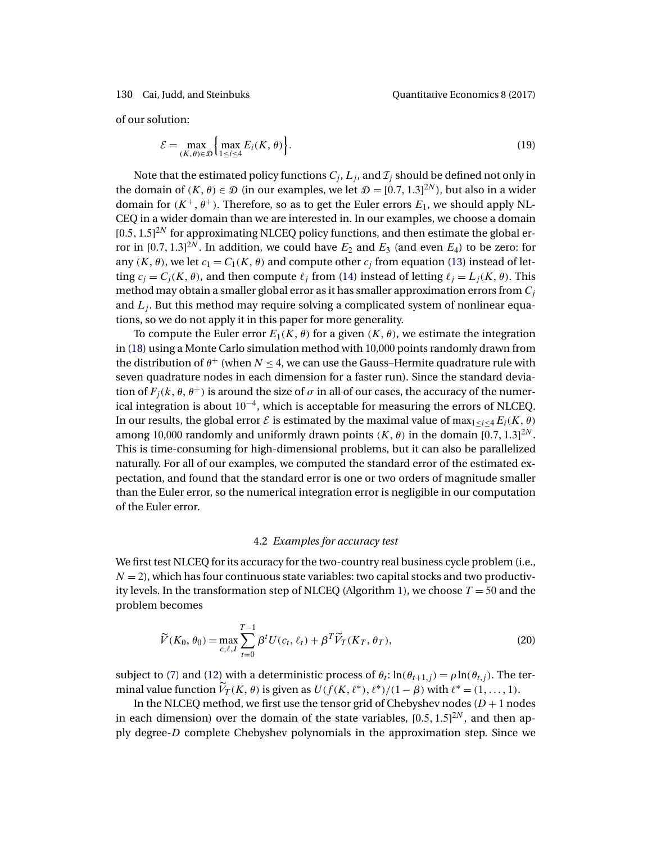<span id="page-13-0"></span>

of our solution:

$$
\mathcal{E} = \max_{(K,\theta)\in\mathcal{D}} \left\{ \max_{1 \le i \le 4} E_i(K,\theta) \right\}.
$$
 (19)

Note that the estimated policy functions  $C_i$ ,  $L_i$ , and  $\mathcal{I}_i$  should be defined not only in the domain of  $(K, \theta) \in \mathcal{D}$  (in our examples, we let  $\mathcal{D} = [0.7, 1.3]^{2N}$ ), but also in a wider domain for  $(K^+, \theta^+)$ . Therefore, so as to get the Euler errors  $E_1$ , we should apply NL-CEQ in a wider domain than we are interested in. In our examples, we choose a domain  $[0.5, 1.5]^{2N}$  for approximating NLCEQ policy functions, and then estimate the global error in [0.7, 1.3]<sup>2N</sup>. In addition, we could have  $E_2$  and  $E_3$  (and even  $E_4$ ) to be zero: for any  $(K, \theta)$ , we let  $c_1 = C_1(K, \theta)$  and compute other  $c_i$  from equation [\(13\)](#page-11-0) instead of letting  $c_i = C_i(K, \theta)$ , and then compute  $\ell_i$  from [\(14\)](#page-11-0) instead of letting  $\ell_i = L_i(K, \theta)$ . This method may obtain a smaller global error as it has smaller approximation errors from  $C_i$ and  $L_i$ . But this method may require solving a complicated system of nonlinear equations, so we do not apply it in this paper for more generality.

To compute the Euler error  $E_1(K, \theta)$  for a given  $(K, \theta)$ , we estimate the integration in [\(18\)](#page-12-0) using a Monte Carlo simulation method with 10,000 points randomly drawn from the distribution of  $\theta^+$  (when  $N \leq 4$ , we can use the Gauss–Hermite quadrature rule with seven quadrature nodes in each dimension for a faster run). Since the standard deviation of  $F_i(k, \theta, \theta^+)$  is around the size of  $\sigma$  in all of our cases, the accuracy of the numerical integration is about  $10^{-4}$ , which is acceptable for measuring the errors of NLCEQ. In our results, the global error  $\mathcal E$  is estimated by the maximal value of max<sub>1≤i≤4</sub>  $E_i(K, \theta)$ among 10,000 randomly and uniformly drawn points  $(K, \theta)$  in the domain [0.7, 1.3]<sup>2N</sup>. This is time-consuming for high-dimensional problems, but it can also be parallelized naturally. For all of our examples, we computed the standard error of the estimated expectation, and found that the standard error is one or two orders of magnitude smaller than the Euler error, so the numerical integration error is negligible in our computation of the Euler error.

### 4.2 *Examples for accuracy test*

We first test NLCEQ for its accuracy for the two-country real business cycle problem (i.e.,  $N = 2$ ), which has four continuous state variables: two capital stocks and two productiv-ity levels. In the transformation step of NLCEQ (Algorithm [1\)](#page-5-0), we choose  $T = 50$  and the problem becomes

$$
\widetilde{V}(K_0, \theta_0) = \max_{c, \ell, I} \sum_{t=0}^{T-1} \beta^t U(c_t, \ell_t) + \beta^T \widetilde{V}_T(K_T, \theta_T), \tag{20}
$$

subject to [\(7\)](#page-10-0) and [\(12\)](#page-11-0) with a deterministic process of  $\theta_t$ :  $\ln(\theta_{t+1,j}) = \rho \ln(\theta_{t,j})$ . The terminal value function  $\widetilde{V}_T(K, \theta)$  is given as  $U(f(K, \ell^*), \ell^*)/(1 - \beta)$  with  $\ell^* = (1, \ldots, 1)$ .

In the NLCEQ method, we first use the tensor grid of Chebyshev nodes  $(D + 1$  nodes in each dimension) over the domain of the state variables,  $[0.5, 1.5]^{2N}$ , and then apply degree-D complete Chebyshev polynomials in the approximation step. Since we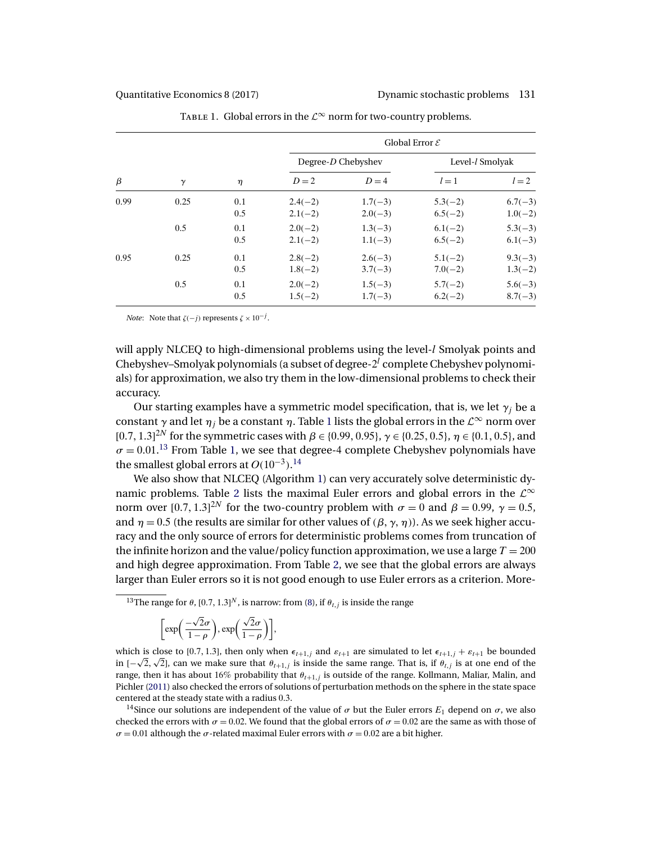<span id="page-14-0"></span>

| $\beta$ |          |            |                        | Global Error $\mathcal E$ |                        |                         |  |  |
|---------|----------|------------|------------------------|---------------------------|------------------------|-------------------------|--|--|
|         |          | η          |                        | Degree- $D$ Chebyshev     |                        | Level- <i>l</i> Smolyak |  |  |
|         | $\gamma$ |            | $D=2$                  | $D=4$                     | $l=1$                  | $l=2$                   |  |  |
| 0.99    | 0.25     | 0.1<br>0.5 | $2.4(-2)$<br>$2.1(-2)$ | $1.7(-3)$<br>$2.0(-3)$    | $5.3(-2)$<br>$6.5(-2)$ | $6.7(-3)$<br>$1.0(-2)$  |  |  |
|         | 0.5      | 0.1<br>0.5 | $2.0(-2)$<br>$2.1(-2)$ | $1.3(-3)$<br>$1.1(-3)$    | $6.1(-2)$<br>$6.5(-2)$ | $5.3(-3)$<br>$6.1(-3)$  |  |  |
| 0.95    | 0.25     | 0.1<br>0.5 | $2.8(-2)$<br>$1.8(-2)$ | $2.6(-3)$<br>$3.7(-3)$    | $5.1(-2)$<br>$7.0(-2)$ | $9.3(-3)$<br>$1.3(-2)$  |  |  |
|         | 0.5      | 0.1<br>0.5 | $2.0(-2)$<br>$1.5(-2)$ | $1.5(-3)$<br>$1.7(-3)$    | $5.7(-2)$<br>$6.2(-2)$ | $5.6(-3)$<br>$8.7(-3)$  |  |  |

|  |  |  |  |  |  |  | TABLE 1. Global errors in the $\mathcal{L}^{\infty}$ norm for two-country problems. |
|--|--|--|--|--|--|--|-------------------------------------------------------------------------------------|
|--|--|--|--|--|--|--|-------------------------------------------------------------------------------------|

*Note*: Note that  $\zeta(-j)$  represents  $\zeta \times 10^{-j}$ .

will apply NLCEQ to high-dimensional problems using the level-*l* Smolyak points and Chebyshev–Smolyak polynomials (a subset of degree- $2^{l}$  complete Chebyshev polynomials) for approximation, we also try them in the low-dimensional problems to check their accuracy.

Our starting examples have a symmetric model specification, that is, we let  $\gamma_i$  be a constant  $\gamma$  and let  $\eta_i$  be a constant  $\eta$ . Table 1 lists the global errors in the  $\mathcal{L}^{\infty}$  norm over [0.7, 1.3]<sup>2N</sup> for the symmetric cases with  $\beta \in \{0.99, 0.95\}$ ,  $\gamma \in \{0.25, 0.5\}$ ,  $\eta \in \{0.1, 0.5\}$ , and  $\sigma = 0.01$ .<sup>13</sup> From Table 1, we see that degree-4 complete Chebyshev polynomials have the smallest global errors at  $O(10^{-3})$ .<sup>14</sup>

We also show that NLCEQ (Algorithm [1\)](#page-5-0) can very accurately solve deterministic dy-namic problems. Table [2](#page-15-0) lists the maximal Euler errors and global errors in the  $\mathcal{L}^{\infty}$ norm over [0.7, 1.3]<sup>2N</sup> for the two-country problem with  $\sigma = 0$  and  $\beta = 0.99$ ,  $\gamma = 0.5$ , and  $\eta = 0.5$  (the results are similar for other values of  $(\beta, \gamma, \eta)$ ). As we seek higher accuracy and the only source of errors for deterministic problems comes from truncation of the infinite horizon and the value/policy function approximation, we use a large  $T = 200$ and high degree approximation. From Table [2,](#page-15-0) we see that the global errors are always larger than Euler errors so it is not good enough to use Euler errors as a criterion. More-

<sup>13</sup>The range for  $\theta$ , [0.7, 1.3]<sup>N</sup>, is narrow: from [\(8\)](#page-10-0), if  $\theta_{t,j}$  is inside the range

$$
\[\exp\left(\frac{-\sqrt{2}\sigma}{1-\rho}\right), \exp\left(\frac{\sqrt{2}\sigma}{1-\rho}\right)\],
$$

which is close to [0.7, 1.3], then only when  $\epsilon_{t+1,j}$  and  $\varepsilon_{t+1}$  are simulated to let  $\epsilon_{t+1,j} + \varepsilon_{t+1}$  be bounded which is close to [0,7, 1,3], then only when  $\epsilon_{t+1,j}$  and  $\epsilon_{t+1}$  are simulated to let  $\epsilon_{t+1,j} + \epsilon_{t+1}$  be bounded<br>in [ $-\sqrt{2}$ ,  $\sqrt{2}$ ], can we make sure that  $\theta_{t+1,j}$  is inside the same range. That is, if  $\theta_{t,j$ range, then it has about 16% probability that  $\theta_{t+1,j}$  is outside of the range. Kollmann, Maliar, Malin, and Pichler [\(2011\)](#page-29-0) also checked the errors of solutions of perturbation methods on the sphere in the state space centered at the steady state with a radius 0.3.

<sup>14</sup>Since our solutions are independent of the value of  $\sigma$  but the Euler errors  $E_1$  depend on  $\sigma$ , we also checked the errors with  $\sigma = 0.02$ . We found that the global errors of  $\sigma = 0.02$  are the same as with those of  $\sigma = 0.01$  although the  $\sigma$ -related maximal Euler errors with  $\sigma = 0.02$  are a bit higher.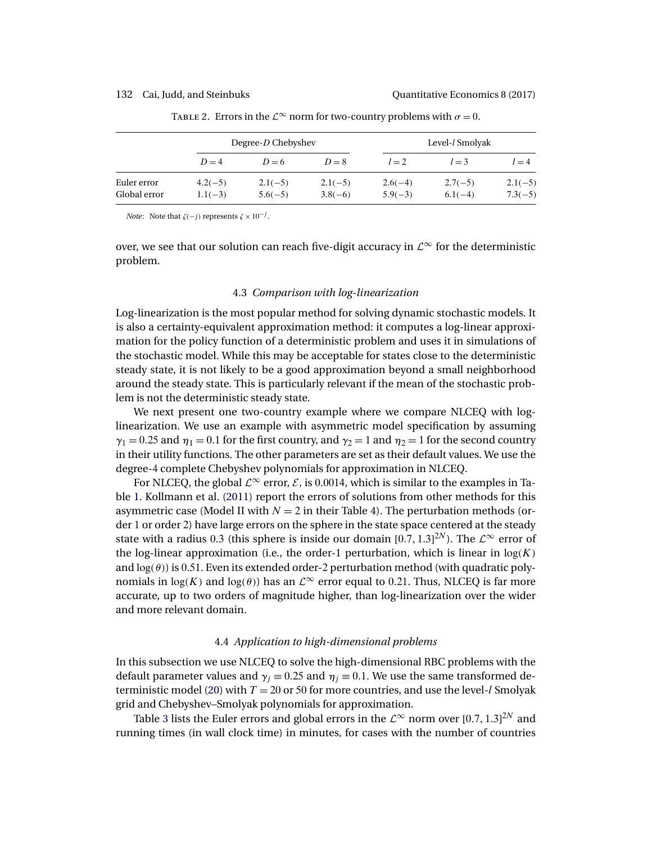<span id="page-15-0"></span>

|                             | Degree-D Chebyshev     |                        |                        | Level- <i>l</i> Smolyak |                        |                        |
|-----------------------------|------------------------|------------------------|------------------------|-------------------------|------------------------|------------------------|
|                             | $D=4$                  | $D=6$                  | $D = 8$                | $l=2$                   | $l=3$                  | $l = 4$                |
| Euler error<br>Global error | $4.2(-5)$<br>$1.1(-3)$ | $2.1(-5)$<br>$5.6(-5)$ | $2.1(-5)$<br>$3.8(-6)$ | $2.6(-4)$<br>$5.9(-3)$  | $2.7(-5)$<br>$6.1(-4)$ | $2.1(-5)$<br>$7.3(-5)$ |

TABLE 2. Errors in the  $\mathcal{L}^{\infty}$  norm for two-country problems with  $\sigma = 0$ .

*Note*: Note that  $\zeta(-j)$  represents  $\zeta \times 10^{-j}$ .

over, we see that our solution can reach five-digit accuracy in  $\mathcal{L}^{\infty}$  for the deterministic problem.

### 4.3 *Comparison with log-linearization*

Log-linearization is the most popular method for solving dynamic stochastic models. It is also a certainty-equivalent approximation method: it computes a log-linear approximation for the policy function of a deterministic problem and uses it in simulations of the stochastic model. While this may be acceptable for states close to the deterministic steady state, it is not likely to be a good approximation beyond a small neighborhood around the steady state. This is particularly relevant if the mean of the stochastic problem is not the deterministic steady state.

We next present one two-country example where we compare NLCEQ with loglinearization. We use an example with asymmetric model specification by assuming  $\gamma_1 = 0.25$  and  $\eta_1 = 0.1$  for the first country, and  $\gamma_2 = 1$  and  $\eta_2 = 1$  for the second country in their utility functions. The other parameters are set as their default values. We use the degree-4 complete Chebyshev polynomials for approximation in NLCEQ.

For NLCEQ, the global  $\mathcal{L}^{\infty}$  error,  $\mathcal{E}$ , is 0.0014, which is similar to the examples in Table [1.](#page-14-0) Kollmann et al. [\(2011\)](#page-29-0) report the errors of solutions from other methods for this asymmetric case (Model II with  $N = 2$  in their Table 4). The perturbation methods (order 1 or order 2) have large errors on the sphere in the state space centered at the steady state with a radius 0.3 (this sphere is inside our domain [0.7, 1.3]<sup>2N</sup>). The  $\mathcal{L}^{\infty}$  error of the log-linear approximation (i.e., the order-1 perturbation, which is linear in  $log(K)$ ) and  $log(\theta)$ ) is 0.51. Even its extended order-2 perturbation method (with quadratic polynomials in  $log(K)$  and  $log(\theta)$ ) has an  $\mathcal{L}^{\infty}$  error equal to 0.21. Thus, NLCEQ is far more accurate, up to two orders of magnitude higher, than log-linearization over the wider and more relevant domain.

### 4.4 *Application to high-dimensional problems*

In this subsection we use NLCEQ to solve the high-dimensional RBC problems with the default parameter values and  $\gamma_j \equiv 0.25$  and  $\eta_j \equiv 0.1$ . We use the same transformed de-terministic model [\(20\)](#page-13-0) with  $T = 20$  or 50 for more countries, and use the level-l Smolyak grid and Chebyshev–Smolyak polynomials for approximation.

Table [3](#page-16-0) lists the Euler errors and global errors in the  $\mathcal{L}^{\infty}$  norm over [0.7, 1.3]<sup>2N</sup> and running times (in wall clock time) in minutes, for cases with the number of countries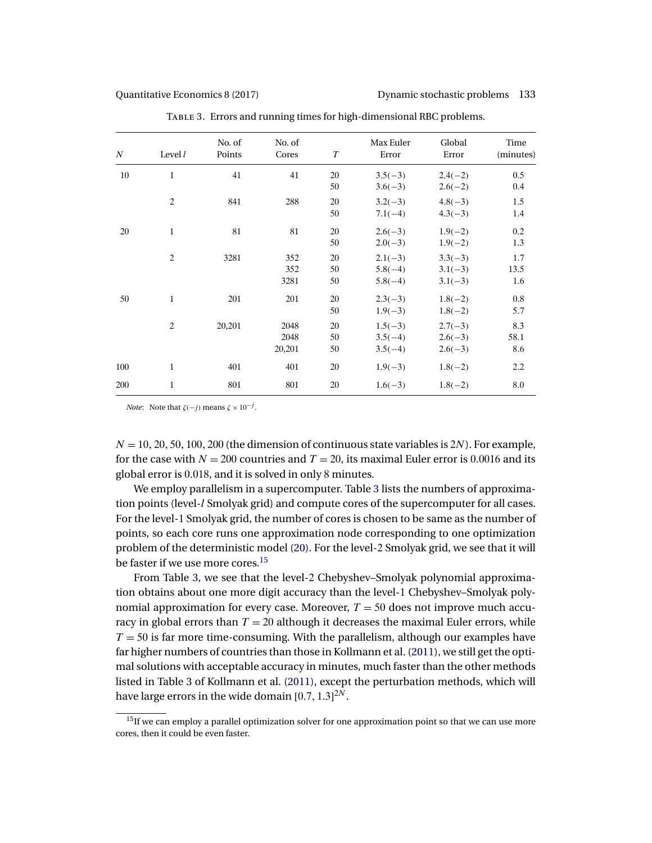<span id="page-16-0"></span>

| $\boldsymbol{N}$ | Level l        | No. of<br>Points | No. of<br>Cores | T  | Max Euler<br>Error | Global<br>Error | Time<br>(minutes) |
|------------------|----------------|------------------|-----------------|----|--------------------|-----------------|-------------------|
| 10               | $\mathbf{1}$   | 41               | 41              | 20 | $3.5(-3)$          | $2.4(-2)$       | 0.5               |
|                  |                |                  |                 | 50 | $3.6(-3)$          | $2.6(-2)$       | 0.4               |
|                  | $\overline{2}$ | 841              | 288             | 20 | $3.2(-3)$          | $4.8(-3)$       | 1.5               |
|                  |                |                  |                 | 50 | $7.1(-4)$          | $4.3(-3)$       | 1.4               |
| 20               | $\mathbf{1}$   | 81               | 81              | 20 | $2.6(-3)$          | $1.9(-2)$       | 0.2               |
|                  |                |                  |                 | 50 | $2.0(-3)$          | $1.9(-2)$       | 1.3               |
|                  | $\overline{2}$ | 3281             | 352             | 20 | $2.1(-3)$          | $3.3(-3)$       | 1.7               |
|                  |                |                  | 352             | 50 | $5.8(-4)$          | $3.1(-3)$       | 13.5              |
|                  |                |                  | 3281            | 50 | $5.8(-4)$          | $3.1(-3)$       | 1.6               |
| 50               | $\mathbf{1}$   | 201              | 201             | 20 | $2.3(-3)$          | $1.8(-2)$       | $\rm 0.8$         |
|                  |                |                  |                 | 50 | $1.9(-3)$          | $1.8(-2)$       | 5.7               |
|                  | $\overline{2}$ | 20,201           | 2048            | 20 | $1.5(-3)$          | $2.7(-3)$       | 8.3               |
|                  |                |                  | 2048            | 50 | $3.5(-4)$          | $2.6(-3)$       | 58.1              |
|                  |                |                  | 20,201          | 50 | $3.5(-4)$          | $2.6(-3)$       | 8.6               |
| 100              | $\mathbf{1}$   | 401              | 401             | 20 | $1.9(-3)$          | $1.8(-2)$       | 2.2               |
| 200              | $\mathbf{1}$   | 801              | 801             | 20 | $1.6(-3)$          | $1.8(-2)$       | $\!\!\!\!\!8.0$   |

Table 3. Errors and running times for high-dimensional RBC problems.

*Note*: Note that  $\zeta(-i)$  means  $\zeta \times 10^{-j}$ .

 $N = 10, 20, 50, 100, 200$  (the dimension of continuous state variables is 2N). For example, for the case with  $N = 200$  countries and  $T = 20$ , its maximal Euler error is 0.0016 and its global error is 0.018, and it is solved in only 8 minutes.

We employ parallelism in a supercomputer. Table 3 lists the numbers of approximation points (level-l Smolyak grid) and compute cores of the supercomputer for all cases. For the level-1 Smolyak grid, the number of cores is chosen to be same as the number of points, so each core runs one approximation node corresponding to one optimization problem of the deterministic model [\(20\)](#page-13-0). For the level-2 Smolyak grid, we see that it will be faster if we use more cores.<sup>15</sup>

From Table 3, we see that the level-2 Chebyshev–Smolyak polynomial approximation obtains about one more digit accuracy than the level-1 Chebyshev–Smolyak polynomial approximation for every case. Moreover,  $T = 50$  does not improve much accuracy in global errors than  $T = 20$  although it decreases the maximal Euler errors, while  $T = 50$  is far more time-consuming. With the parallelism, although our examples have far higher numbers of countries than those in Kollmann et al. [\(2011\)](#page-29-0), we still get the optimal solutions with acceptable accuracy in minutes, much faster than the other methods listed in Table 3 of Kollmann et al. [\(2011\)](#page-29-0), except the perturbation methods, which will have large errors in the wide domain [0.7, 1.3] $^{2N}$ .

<sup>&</sup>lt;sup>15</sup>If we can employ a parallel optimization solver for one approximation point so that we can use more cores, then it could be even faster.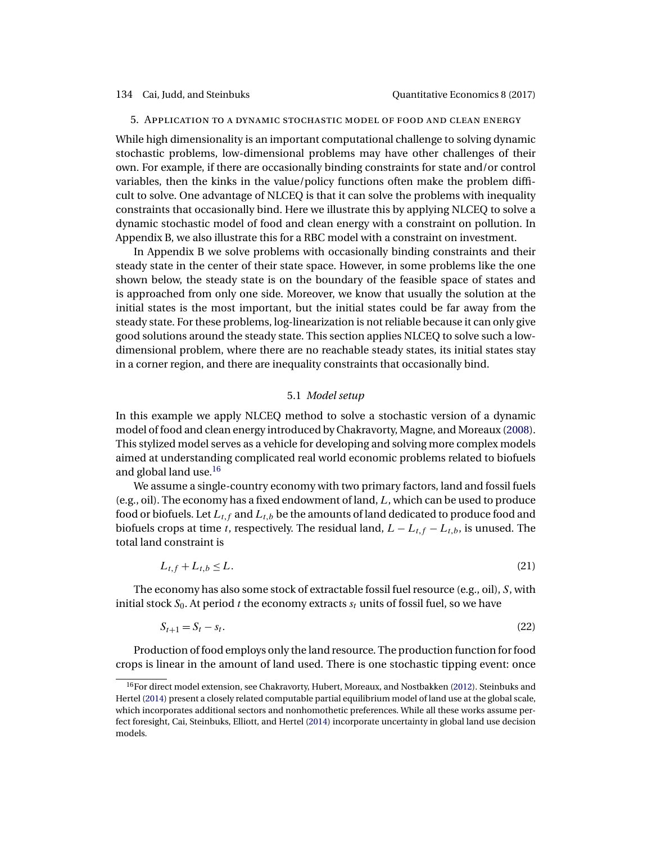#### <span id="page-17-0"></span>5. Application to a dynamic stochastic model of food and clean energy

While high dimensionality is an important computational challenge to solving dynamic stochastic problems, low-dimensional problems may have other challenges of their own. For example, if there are occasionally binding constraints for state and/or control variables, then the kinks in the value/policy functions often make the problem difficult to solve. One advantage of NLCEQ is that it can solve the problems with inequality constraints that occasionally bind. Here we illustrate this by applying NLCEQ to solve a dynamic stochastic model of food and clean energy with a constraint on pollution. In Appendix B, we also illustrate this for a RBC model with a constraint on investment.

In Appendix B we solve problems with occasionally binding constraints and their steady state in the center of their state space. However, in some problems like the one shown below, the steady state is on the boundary of the feasible space of states and is approached from only one side. Moreover, we know that usually the solution at the initial states is the most important, but the initial states could be far away from the steady state. For these problems, log-linearization is not reliable because it can only give good solutions around the steady state. This section applies NLCEQ to solve such a lowdimensional problem, where there are no reachable steady states, its initial states stay in a corner region, and there are inequality constraints that occasionally bind.

### 5.1 *Model setup*

In this example we apply NLCEQ method to solve a stochastic version of a dynamic model of food and clean energy introduced by Chakravorty, Magne, and Moreaux [\(2008\)](#page-28-0). This stylized model serves as a vehicle for developing and solving more complex models aimed at understanding complicated real world economic problems related to biofuels and global land use.<sup>16</sup>

We assume a single-country economy with two primary factors, land and fossil fuels (e.g., oil). The economy has a fixed endowment of land, L, which can be used to produce food or biofuels. Let  $L_{t,f}$  and  $L_{t,b}$  be the amounts of land dedicated to produce food and biofuels crops at time t, respectively. The residual land,  $L - L_{t,f} - L_{t,b}$ , is unused. The total land constraint is

$$
L_{t,f} + L_{t,b} \le L. \tag{21}
$$

The economy has also some stock of extractable fossil fuel resource (e.g., oil), S, with initial stock  $S_0$ . At period t the economy extracts  $s_t$  units of fossil fuel, so we have

$$
S_{t+1} = S_t - s_t. \tag{22}
$$

Production of food employs only the land resource. The production function for food crops is linear in the amount of land used. There is one stochastic tipping event: once

<sup>&</sup>lt;sup>16</sup>For direct model extension, see Chakravorty, Hubert, Moreaux, and Nostbakken [\(2012\)](#page-28-0). Steinbuks and Hertel [\(2014\)](#page-30-0) present a closely related computable partial equilibrium model of land use at the global scale, which incorporates additional sectors and nonhomothetic preferences. While all these works assume perfect foresight, Cai, Steinbuks, Elliott, and Hertel [\(2014\)](#page-27-0) incorporate uncertainty in global land use decision models.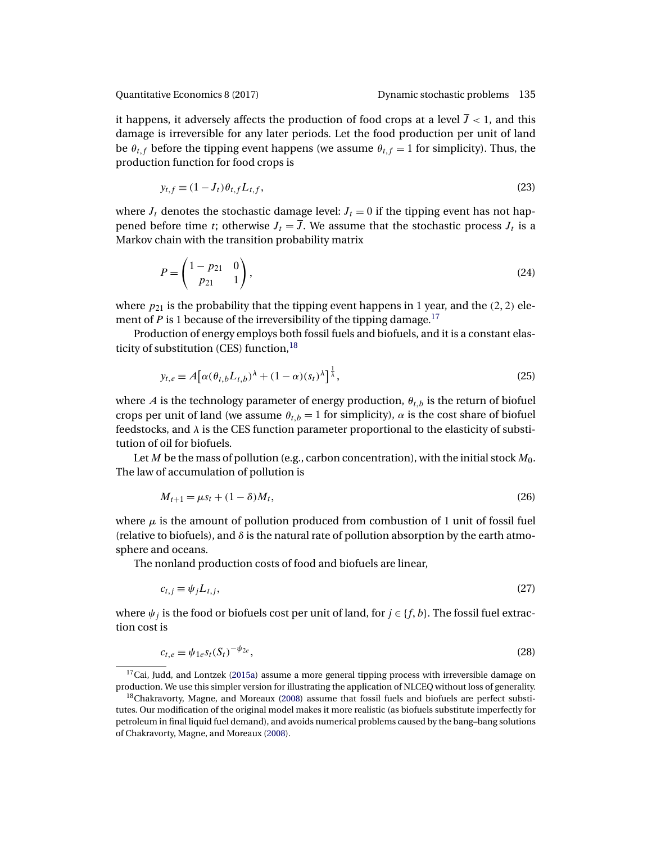<span id="page-18-0"></span>it happens, it adversely affects the production of food crops at a level  $\overline{J}$  < 1, and this damage is irreversible for any later periods. Let the food production per unit of land be  $\theta_{t,f}$  before the tipping event happens (we assume  $\theta_{t,f} = 1$  for simplicity). Thus, the production function for food crops is

$$
y_{t,f} \equiv (1 - J_t)\theta_{t,f}L_{t,f},\tag{23}
$$

where  $J_t$  denotes the stochastic damage level:  $J_t = 0$  if the tipping event has not happened before time t; otherwise  $J_t = \overline{J}$ . We assume that the stochastic process  $J_t$  is a Markov chain with the transition probability matrix

$$
P = \begin{pmatrix} 1 - p_{21} & 0 \\ p_{21} & 1 \end{pmatrix},\tag{24}
$$

where  $p_{21}$  is the probability that the tipping event happens in 1 year, and the (2, 2) element of  $P$  is 1 because of the irreversibility of the tipping damage.<sup>17</sup>

Production of energy employs both fossil fuels and biofuels, and it is a constant elasticity of substitution (CES) function,  $18$ 

$$
y_{t,e} \equiv A \big[ \alpha (\theta_{t,b} L_{t,b})^{\lambda} + (1 - \alpha)(s_t)^{\lambda} \big]^{\frac{1}{\lambda}},\tag{25}
$$

where A is the technology parameter of energy production,  $\theta_{t,b}$  is the return of biofuel crops per unit of land (we assume  $\theta_{t,b} = 1$  for simplicity),  $\alpha$  is the cost share of biofuel feedstocks, and  $\lambda$  is the CES function parameter proportional to the elasticity of substitution of oil for biofuels.

Let M be the mass of pollution (e.g., carbon concentration), with the initial stock  $M_0$ . The law of accumulation of pollution is

$$
M_{t+1} = \mu s_t + (1 - \delta) M_t,\tag{26}
$$

where  $\mu$  is the amount of pollution produced from combustion of 1 unit of fossil fuel (relative to biofuels), and  $\delta$  is the natural rate of pollution absorption by the earth atmosphere and oceans.

The nonland production costs of food and biofuels are linear,

$$
c_{t,j} \equiv \psi_j L_{t,j},\tag{27}
$$

where  $\psi_j$  is the food or biofuels cost per unit of land, for  $j \in \{f, b\}$ . The fossil fuel extraction cost is

$$
c_{t,e} \equiv \psi_{1e} s_t (S_t)^{-\psi_{2e}}, \tag{28}
$$

 $17$ Cai, Judd, and Lontzek [\(2015a\)](#page-27-0) assume a more general tipping process with irreversible damage on production. We use this simpler version for illustrating the application of NLCEQ without loss of generality.

<sup>&</sup>lt;sup>18</sup>Chakravorty, Magne, and Moreaux [\(2008\)](#page-28-0) assume that fossil fuels and biofuels are perfect substitutes. Our modification of the original model makes it more realistic (as biofuels substitute imperfectly for petroleum in final liquid fuel demand), and avoids numerical problems caused by the bang–bang solutions of Chakravorty, Magne, and Moreaux [\(2008\)](#page-28-0).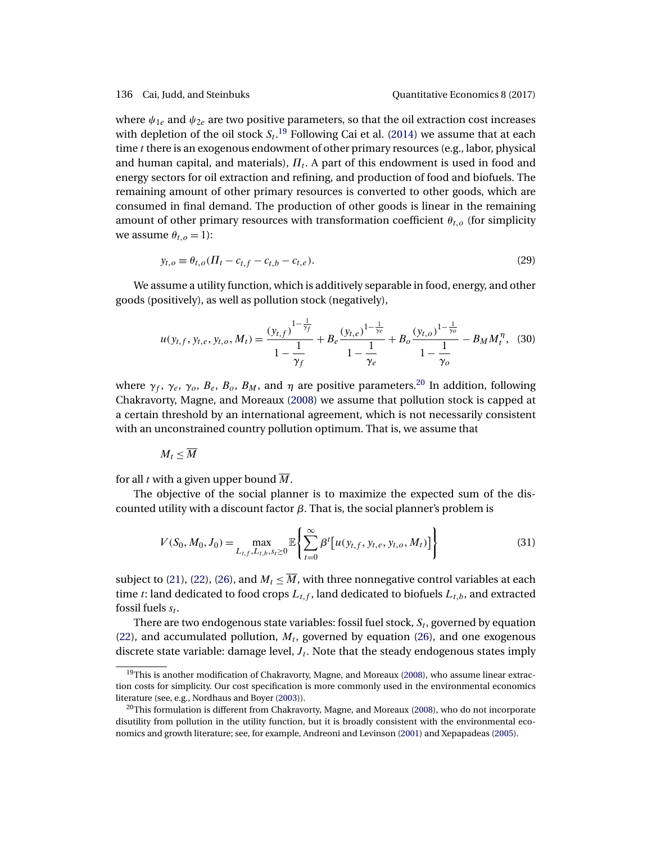<span id="page-19-0"></span>where  $\psi_{1e}$  and  $\psi_{2e}$  are two positive parameters, so that the oil extraction cost increases with depletion of the oil stock  $S_t$ .<sup>19</sup> Following Cai et al. [\(2014\)](#page-27-0) we assume that at each time  $t$  there is an exogenous endowment of other primary resources (e.g., labor, physical and human capital, and materials),  $\Pi_t$ . A part of this endowment is used in food and energy sectors for oil extraction and refining, and production of food and biofuels. The remaining amount of other primary resources is converted to other goods, which are consumed in final demand. The production of other goods is linear in the remaining amount of other primary resources with transformation coefficient  $\theta_{t,o}$  (for simplicity we assume  $\theta_{t,o} = 1$ :

$$
y_{t,o} \equiv \theta_{t,o}(\Pi_t - c_{t,f} - c_{t,b} - c_{t,e}).
$$
\n(29)

We assume a utility function, which is additively separable in food, energy, and other goods (positively), as well as pollution stock (negatively),

$$
u(y_{t,f}, y_{t,e}, y_{t,o}, M_t) = \frac{(y_{t,f})^{1-\frac{1}{\gamma_f}}}{1-\frac{1}{\gamma_f}} + B_e \frac{(y_{t,e})^{1-\frac{1}{\gamma_e}}}{1-\frac{1}{\gamma_e}} + B_o \frac{(y_{t,o})^{1-\frac{1}{\gamma_o}}}{1-\frac{1}{\gamma_o}} - B_M M_t^{\eta}, \quad (30)
$$

where  $\gamma_f$ ,  $\gamma_e$ ,  $\gamma_o$ ,  $B_e$ ,  $B_o$ ,  $B_M$ , and  $\eta$  are positive parameters.<sup>20</sup> In addition, following Chakravorty, Magne, and Moreaux [\(2008\)](#page-28-0) we assume that pollution stock is capped at a certain threshold by an international agreement, which is not necessarily consistent with an unconstrained country pollution optimum. That is, we assume that

$$
M_t \leq \overline{M}
$$

for all t with a given upper bound  $\overline{M}$ .

The objective of the social planner is to maximize the expected sum of the discounted utility with a discount factor  $\beta$ . That is, the social planner's problem is

$$
V(S_0, M_0, J_0) = \max_{L_{t,f}, L_{t,b}, s_t \ge 0} \mathbb{E}\left\{\sum_{t=0}^{\infty} \beta^t \big[u(y_{t,f}, y_{t,e}, y_{t,o}, M_t)\big]\right\}
$$
(31)

subject to [\(21\)](#page-17-0), [\(22\)](#page-17-0), [\(26\)](#page-18-0), and  $M_t \leq \overline{M}$ , with three nonnegative control variables at each time t: land dedicated to food crops  $L_{t,f}$ , land dedicated to biofuels  $L_{t,b}$ , and extracted fossil fuels  $s_t$ .

There are two endogenous state variables: fossil fuel stock,  $S_t$ , governed by equation [\(22\)](#page-17-0), and accumulated pollution,  $M_t$ , governed by equation [\(26\)](#page-18-0), and one exogenous discrete state variable: damage level,  $J_t$ . Note that the steady endogenous states imply

 $19$ This is another modification of Chakravorty, Magne, and Moreaux [\(2008\)](#page-28-0), who assume linear extraction costs for simplicity. Our cost specification is more commonly used in the environmental economics literature (see, e.g., Nordhaus and Boyer [\(2003\)](#page-29-0)).

 $20$ This formulation is different from Chakravorty, Magne, and Moreaux [\(2008\)](#page-28-0), who do not incorporate disutility from pollution in the utility function, but it is broadly consistent with the environmental economics and growth literature; see, for example, Andreoni and Levinson [\(2001\)](#page-27-0) and Xepapadeas [\(2005\)](#page-30-0).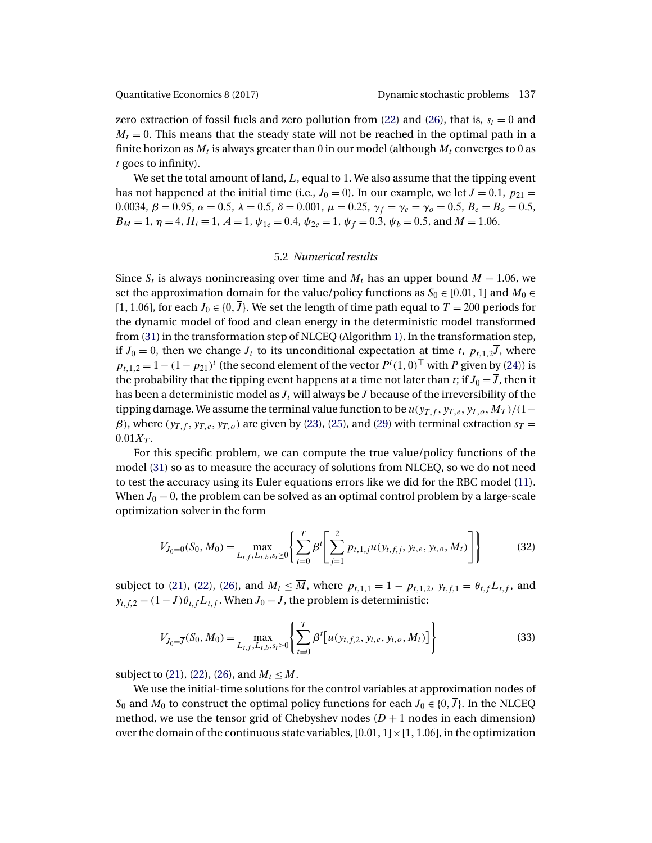zero extraction of fossil fuels and zero pollution from [\(22\)](#page-17-0) and [\(26\)](#page-18-0), that is,  $s_t = 0$  and  $M_t = 0$ . This means that the steady state will not be reached in the optimal path in a finite horizon as  $M_t$  is always greater than 0 in our model (although  $M_t$  converges to 0 as  $t$  goes to infinity).

We set the total amount of land, L, equal to 1. We also assume that the tipping event has not happened at the initial time (i.e.,  $J_0 = 0$ ). In our example, we let  $\overline{J} = 0.1$ ,  $p_{21} =$ 0.0034,  $\beta = 0.95$ ,  $\alpha = 0.5$ ,  $\lambda = 0.5$ ,  $\delta = 0.001$ ,  $\mu = 0.25$ ,  $\gamma_f = \gamma_e = \gamma_o = 0.5$ ,  $B_e = B_o = 0.5$ ,  $B_M = 1$ ,  $\eta = 4$ ,  $\Pi_t \equiv 1$ ,  $A = 1$ ,  $\psi_{1e} = 0.4$ ,  $\psi_{2e} = 1$ ,  $\psi_f = 0.3$ ,  $\psi_b = 0.5$ , and  $\overline{M} = 1.06$ .

# 5.2 *Numerical results*

Since  $S_t$  is always nonincreasing over time and  $M_t$  has an upper bound  $\overline{M} = 1.06$ , we set the approximation domain for the value/policy functions as  $S_0 \in [0.01, 1]$  and  $M_0 \in$ [1, 1.06], for each  $J_0 \in \{0, \overline{J}\}\.$  We set the length of time path equal to  $T = 200$  periods for the dynamic model of food and clean energy in the deterministic model transformed from [\(31\)](#page-19-0) in the transformation step of NLCEQ (Algorithm [1\)](#page-5-0). In the transformation step, if  $J_0 = 0$ , then we change  $J_t$  to its unconditional expectation at time t,  $p_{t,1,2}\overline{J}$ , where  $p_{t,1,2} = 1 - (1 - p_{21})^t$  (the second element of the vector  $P^t(1,0)^\top$  with P given by [\(24\)](#page-18-0)) is the probability that the tipping event happens at a time not later than t; if  $J_0 = \overline{J}$ , then it has been a deterministic model as  $J_t$  will always be  $\overline{J}$  because of the irreversibility of the tipping damage. We assume the terminal value function to be  $u(y_{T,f}, y_{T,e}, y_{T,o}, M_T)/(1-\epsilon)$ β), where  $(y_{T,f}, y_{T,e}, y_{T,o})$  are given by [\(23\)](#page-18-0), [\(25\)](#page-18-0), and [\(29\)](#page-19-0) with terminal extraction  $s_T$  =  $0.01X_T$ .

For this specific problem, we can compute the true value/policy functions of the model [\(31\)](#page-19-0) so as to measure the accuracy of solutions from NLCEQ, so we do not need to test the accuracy using its Euler equations errors like we did for the RBC model [\(11\)](#page-11-0). When  $J_0 = 0$ , the problem can be solved as an optimal control problem by a large-scale optimization solver in the form

$$
V_{J_0=0}(S_0, M_0) = \max_{L_{t,f}, L_{t,b}, s_t \ge 0} \left\{ \sum_{t=0}^T \beta^t \left[ \sum_{j=1}^2 p_{t,1,j} u(y_{t,f,j}, y_{t,e}, y_{t,o}, M_t) \right] \right\}
$$
(32)

subject to [\(21\)](#page-17-0), [\(22\)](#page-17-0), [\(26\)](#page-18-0), and  $M_t \leq \overline{M}$ , where  $p_{t,1,1} = 1 - p_{t,1,2}$ ,  $y_{t,f,1} = \theta_{t,f} L_{t,f}$ , and  $y_{t,f,2} = (1 - \overline{J})\theta_{t,f} L_{t,f}$ . When  $J_0 = \overline{J}$ , the problem is deterministic:

$$
V_{J_0 = \overline{J}}(S_0, M_0) = \max_{L_{t,f}, L_{t,b}, s_t \ge 0} \left\{ \sum_{t=0}^T \beta^t \left[ u(y_{t,f,2}, y_{t,e}, y_{t,o}, M_t) \right] \right\}
$$
(33)

subject to [\(21\)](#page-17-0), [\(22\)](#page-17-0), [\(26\)](#page-18-0), and  $M_t \leq \overline{M}$ .

We use the initial-time solutions for the control variables at approximation nodes of  $S_0$  and  $M_0$  to construct the optimal policy functions for each  $J_0 \in \{0, \overline{J}\}$ . In the NLCEQ method, we use the tensor grid of Chebyshev nodes ( $D + 1$  nodes in each dimension) over the domain of the continuous state variables,  $[0.01, 1] \times [1, 1.06]$ , in the optimization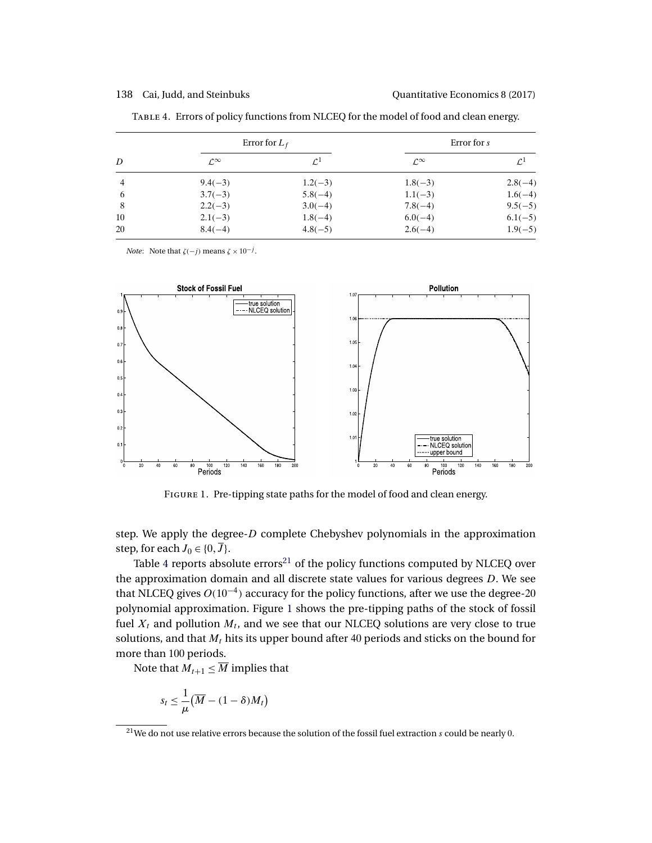138 Cai, Judd, and Steinbuks Quantitative Economics 8 (2017)

|                |                        | Error for $L_f$ | Error for $s$          |                 |  |
|----------------|------------------------|-----------------|------------------------|-----------------|--|
| D              | $\mathcal{L}^{\infty}$ | $\mathcal{L}^1$ | $\mathcal{L}^{\infty}$ | $\mathcal{L}^1$ |  |
| $\overline{4}$ | $9.4(-3)$              | $1.2(-3)$       | $1.8(-3)$              | $2.8(-4)$       |  |
| 6              | $3.7(-3)$              | $5.8(-4)$       | $1.1(-3)$              | $1.6(-4)$       |  |
| 8              | $2.2(-3)$              | $3.0(-4)$       | $7.8(-4)$              | $9.5(-5)$       |  |
| 10             | $2.1(-3)$              | $1.8(-4)$       | $6.0(-4)$              | $6.1(-5)$       |  |
| 20             | $8.4(-4)$              | $4.8(-5)$       | $2.6(-4)$              | $1.9(-5)$       |  |

Table 4. Errors of policy functions from NLCEQ for the model of food and clean energy.

*Note*: Note that  $\zeta(-j)$  means  $\zeta \times 10^{-j}$ .



Figure 1. Pre-tipping state paths for the model of food and clean energy.

step. We apply the degree-D complete Chebyshev polynomials in the approximation step, for each  $J_0 \in \{0, \overline{J}\}.$ 

Table 4 reports absolute  $\arccos^{21}$  of the policy functions computed by NLCEQ over the approximation domain and all discrete state values for various degrees D. We see that NLCEQ gives  $O(10^{-4})$  accuracy for the policy functions, after we use the degree-20 polynomial approximation. Figure 1 shows the pre-tipping paths of the stock of fossil fuel  $X_t$  and pollution  $M_t$ , and we see that our NLCEQ solutions are very close to true solutions, and that  $M_t$  hits its upper bound after 40 periods and sticks on the bound for more than 100 periods.

Note that  $M_{t+1} \leq \overline{M}$  implies that

$$
s_t \leq \frac{1}{\mu} \big( \overline{M} - (1 - \delta) M_t \big)
$$

<sup>&</sup>lt;sup>21</sup>We do not use relative errors because the solution of the fossil fuel extraction s could be nearly 0.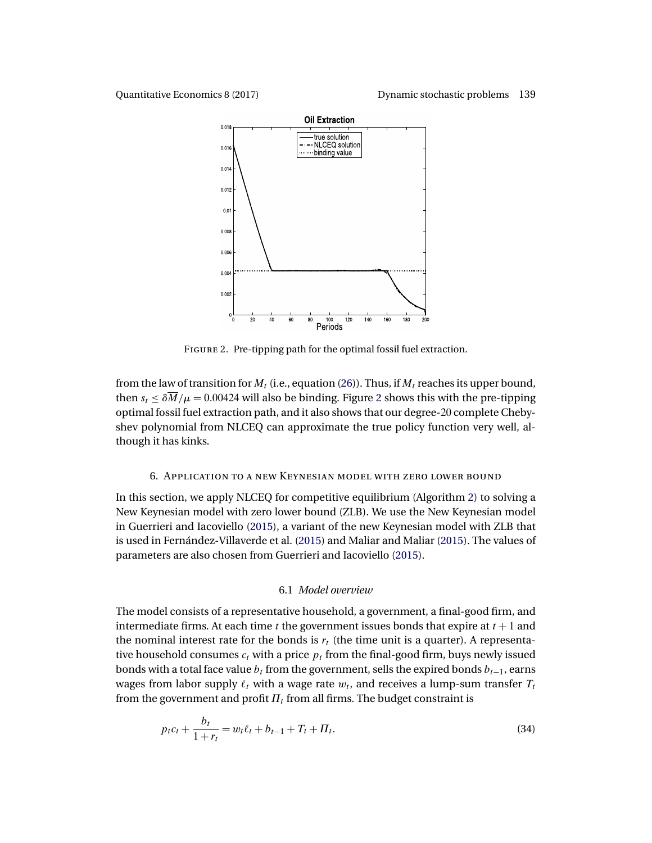<span id="page-22-0"></span>

Figure 2. Pre-tipping path for the optimal fossil fuel extraction.

from the law of transition for  $M_t$  (i.e., equation [\(26\)](#page-18-0)). Thus, if  $M_t$  reaches its upper bound, then  $s_t \leq \delta \overline{M}/\mu = 0.00424$  will also be binding. Figure 2 shows this with the pre-tipping optimal fossil fuel extraction path, and it also shows that our degree-20 complete Chebyshev polynomial from NLCEQ can approximate the true policy function very well, although it has kinks.

# 6. Application to a new Keynesian model with zero lower bound

In this section, we apply NLCEQ for competitive equilibrium (Algorithm [2\)](#page-9-0) to solving a New Keynesian model with zero lower bound (ZLB). We use the New Keynesian model in Guerrieri and Iacoviello [\(2015\)](#page-29-0), a variant of the new Keynesian model with ZLB that is used in Fernández-Villaverde et al. [\(2015\)](#page-28-0) and Maliar and Maliar [\(2015\)](#page-29-0). The values of parameters are also chosen from Guerrieri and Iacoviello [\(2015\)](#page-29-0).

# 6.1 *Model overview*

The model consists of a representative household, a government, a final-good firm, and intermediate firms. At each time t the government issues bonds that expire at  $t + 1$  and the nominal interest rate for the bonds is  $r_t$  (the time unit is a quarter). A representative household consumes  $c_t$  with a price  $p_t$  from the final-good firm, buys newly issued bonds with a total face value  $b_t$  from the government, sells the expired bonds  $b_{t-1}$ , earns wages from labor supply  $\ell_t$  with a wage rate  $w_t$ , and receives a lump-sum transfer  $T_t$ from the government and profit  $\Pi_t$  from all firms. The budget constraint is

$$
p_t c_t + \frac{b_t}{1 + r_t} = w_t \ell_t + b_{t-1} + T_t + \Pi_t.
$$
\n(34)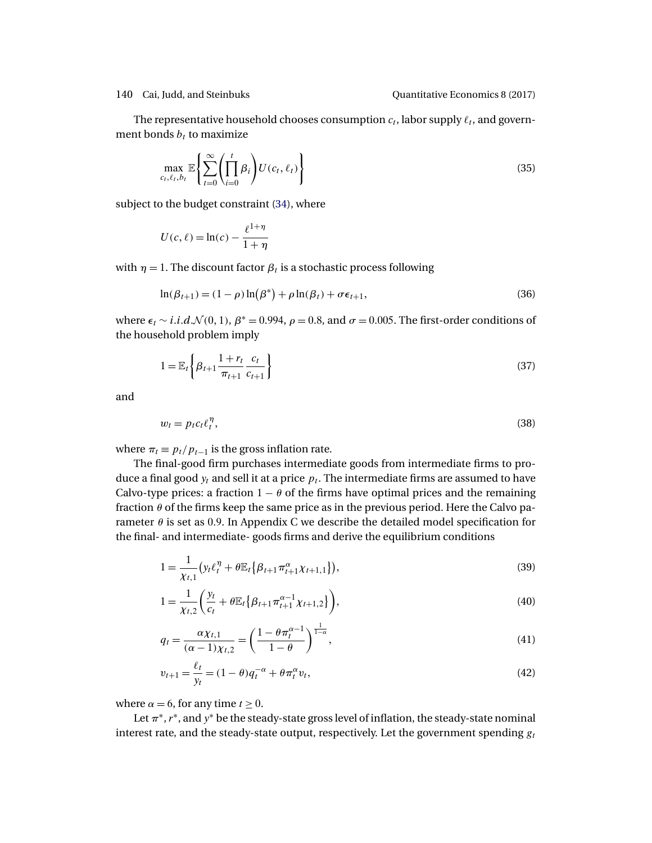<span id="page-23-0"></span>The representative household chooses consumption  $c_t$ , labor supply  $\ell_t$ , and government bonds  $b_t$  to maximize

$$
\max_{c_t, \ell_t, b_t} \mathbb{E}\left\{\sum_{t=0}^{\infty} \left(\prod_{i=0}^t \beta_i\right) U(c_t, \ell_t)\right\}
$$
(35)

subject to the budget constraint [\(34\)](#page-22-0), where

$$
U(c, \ell) = \ln(c) - \frac{\ell^{1+\eta}}{1+\eta}
$$

with  $\eta = 1$ . The discount factor  $\beta_t$  is a stochastic process following

$$
\ln(\beta_{t+1}) = (1 - \rho) \ln(\beta^*) + \rho \ln(\beta_t) + \sigma \epsilon_{t+1},
$$
\n(36)

where  $\epsilon_t \sim i.i.d.\mathcal{N}(0, 1), \beta^* = 0.994, \rho = 0.8$ , and  $\sigma = 0.005$ . The first-order conditions of the household problem imply

$$
1 = \mathbb{E}_{t} \left\{ \beta_{t+1} \frac{1 + r_{t}}{\pi_{t+1}} \frac{c_{t}}{c_{t+1}} \right\}
$$
 (37)

and

$$
w_t = p_t c_t \ell_t^{\eta},\tag{38}
$$

where  $\pi_t \equiv p_t/p_{t-1}$  is the gross inflation rate.

The final-good firm purchases intermediate goods from intermediate firms to produce a final good  $y_t$  and sell it at a price  $p_t$ . The intermediate firms are assumed to have Calvo-type prices: a fraction  $1 - \theta$  of the firms have optimal prices and the remaining fraction  $\theta$  of the firms keep the same price as in the previous period. Here the Calvo parameter  $\theta$  is set as 0.9. In Appendix C we describe the detailed model specification for the final- and intermediate- goods firms and derive the equilibrium conditions

$$
1 = \frac{1}{\chi_{t,1}} \left( y_t \ell_t^{\eta} + \theta \mathbb{E}_t \left\{ \beta_{t+1} \pi_{t+1}^{\alpha} \chi_{t+1,1} \right\} \right),\tag{39}
$$

$$
1 = \frac{1}{\chi_{t,2}} \left( \frac{y_t}{c_t} + \theta \mathbb{E}_t \left\{ \beta_{t+1} \pi_{t+1}^{\alpha - 1} \chi_{t+1,2} \right\} \right),\tag{40}
$$

$$
q_t = \frac{\alpha \chi_{t,1}}{(\alpha - 1)\chi_{t,2}} = \left(\frac{1 - \theta \pi_t^{\alpha - 1}}{1 - \theta}\right)^{\frac{1}{1 - \alpha}},\tag{41}
$$

$$
v_{t+1} = \frac{\ell_t}{y_t} = (1 - \theta)q_t^{-\alpha} + \theta \pi_t^{\alpha} v_t,
$$
\n
$$
(42)
$$

where  $\alpha = 6$ , for any time  $t > 0$ .

Let  $\pi^*$ ,  $r^*$ , and  $y^*$  be the steady-state gross level of inflation, the steady-state nominal interest rate, and the steady-state output, respectively. Let the government spending  $g_t$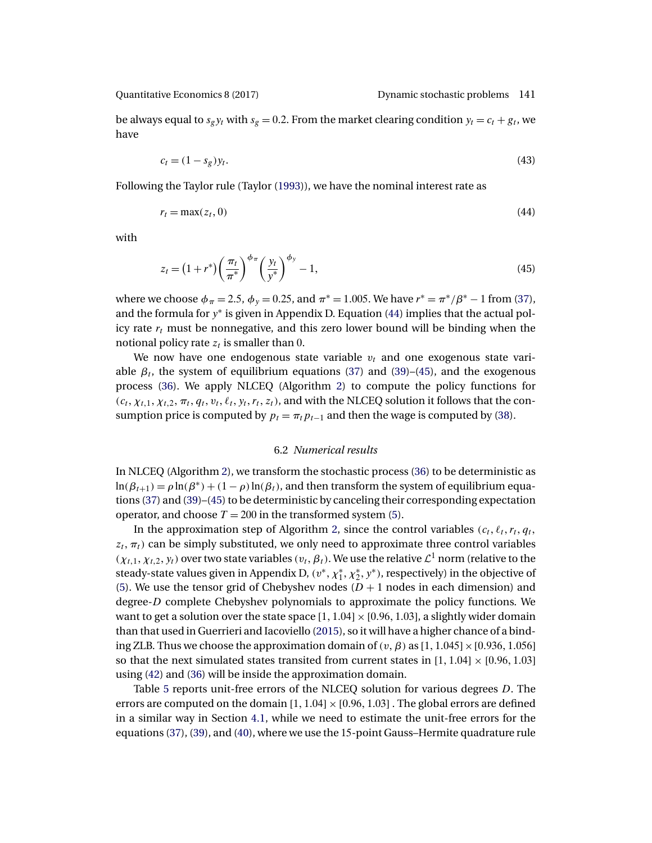<span id="page-24-0"></span>

be always equal to  $s_g y_t$  with  $s_g = 0.2$ . From the market clearing condition  $y_t = c_t + g_t$ , we have

$$
c_t = (1 - s_g)y_t. \tag{43}
$$

Following the Taylor rule (Taylor [\(1993\)](#page-30-0)), we have the nominal interest rate as

$$
r_t = \max(z_t, 0) \tag{44}
$$

with

$$
z_t = \left(1 + r^*\right) \left(\frac{\pi_t}{\pi^*}\right)^{\phi_\pi} \left(\frac{y_t}{y^*}\right)^{\phi_y} - 1,\tag{45}
$$

where we choose  $\phi_{\pi} = 2.5$ ,  $\phi_{v} = 0.25$ , and  $\pi^{*} = 1.005$ . We have  $r^{*} = \pi^{*}/\beta^{*} - 1$  from [\(37\)](#page-23-0), and the formula for  $y^*$  is given in Appendix D. Equation (44) implies that the actual policy rate  $r_t$  must be nonnegative, and this zero lower bound will be binding when the notional policy rate  $z_t$  is smaller than 0.

We now have one endogenous state variable  $v_t$  and one exogenous state variable  $\beta_t$ , the system of equilibrium equations [\(37\)](#page-23-0) and [\(39\)](#page-23-0)–(45), and the exogenous process [\(36\)](#page-23-0). We apply NLCEQ (Algorithm [2\)](#page-9-0) to compute the policy functions for  $(c_t, \chi_{t,1}, \chi_{t,2}, \pi_t, q_t, v_t, \ell_t, y_t, r_t, z_t)$ , and with the NLCEQ solution it follows that the consumption price is computed by  $p_t = \pi_t p_{t-1}$  and then the wage is computed by [\(38\)](#page-23-0).

# 6.2 *Numerical results*

In NLCEQ (Algorithm [2\)](#page-9-0), we transform the stochastic process [\(36\)](#page-23-0) to be deterministic as  $\ln(\beta_{t+1}) = \rho \ln(\beta^*) + (1 - \rho) \ln(\beta_t)$ , and then transform the system of equilibrium equations [\(37\)](#page-23-0) and [\(39\)](#page-23-0)–(45) to be deterministic by canceling their corresponding expectation operator, and choose  $T = 200$  in the transformed system [\(5\)](#page-8-0).

In the approximation step of Algorithm [2,](#page-9-0) since the control variables  $(c_t, \ell_t, r_t, q_t,$  $z_t$ ,  $\pi_t$ ) can be simply substituted, we only need to approximate three control variables  $(\chi_{t,1}, \chi_{t,2}, y_t)$  over two state variables  $(v_t, \beta_t)$ . We use the relative  $\mathcal{L}^1$  norm (relative to the steady-state values given in Appendix D,  $(v^*, \chi_1^*, \chi_2^*, y^*)$ , respectively) in the objective of [\(5\)](#page-8-0). We use the tensor grid of Chebyshev nodes  $(D + 1$  nodes in each dimension) and degree-D complete Chebyshev polynomials to approximate the policy functions. We want to get a solution over the state space  $[1, 1.04] \times [0.96, 1.03]$ , a slightly wider domain than that used in Guerrieri and Iacoviello [\(2015\)](#page-29-0), so it will have a higher chance of a binding ZLB. Thus we choose the approximation domain of  $(v, \beta)$  as  $[1, 1.045] \times [0.936, 1.056]$ so that the next simulated states transited from current states in  $[1, 1.04] \times [0.96, 1.03]$ using [\(42\)](#page-23-0) and [\(36\)](#page-23-0) will be inside the approximation domain.

Table [5](#page-25-0) reports unit-free errors of the NLCEQ solution for various degrees D. The errors are computed on the domain  $[1, 1.04] \times [0.96, 1.03]$ . The global errors are defined in a similar way in Section [4.1,](#page-11-0) while we need to estimate the unit-free errors for the equations [\(37\)](#page-23-0), [\(39\)](#page-23-0), and [\(40\)](#page-23-0), where we use the 15-point Gauss–Hermite quadrature rule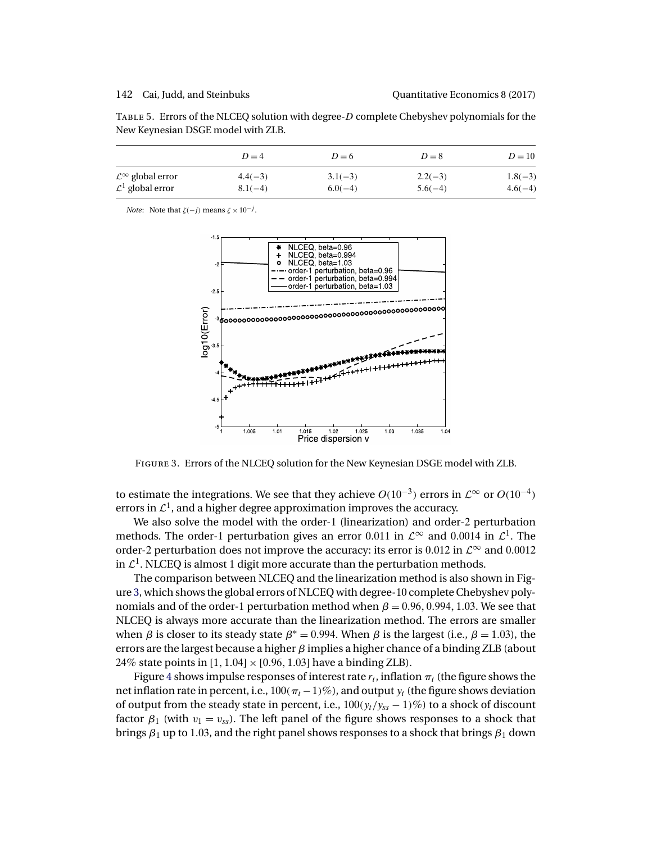<span id="page-25-0"></span>

| TABLE 5. Errors of the NLCEQ solution with degree-D complete Chebyshev polynomials for the |
|--------------------------------------------------------------------------------------------|
| New Keynesian DSGE model with ZLB.                                                         |

|                                     | $D=4$     | $D=6$     | $D=8$     | $D=10$    |
|-------------------------------------|-----------|-----------|-----------|-----------|
| $\mathcal{L}^{\infty}$ global error | $4.4(-3)$ | $3.1(-3)$ | $2.2(-3)$ | $1.8(-3)$ |
| $\mathcal{L}^1$ global error        | $8.1(-4)$ | $6.0(-4)$ | $5.6(-4)$ | $4.6(-4)$ |

*Note*: Note that  $\zeta(-j)$  means  $\zeta \times 10^{-j}$ .



Figure 3. Errors of the NLCEQ solution for the New Keynesian DSGE model with ZLB.

to estimate the integrations. We see that they achieve  $O(10^{-3})$  errors in  $\mathcal{L}^{\infty}$  or  $O(10^{-4})$ errors in  $\mathcal{L}^1$ , and a higher degree approximation improves the accuracy.

We also solve the model with the order-1 (linearization) and order-2 perturbation methods. The order-1 perturbation gives an error 0.011 in  $\mathcal{L}^{\infty}$  and 0.0014 in  $\mathcal{L}^{1}$ . The order-2 perturbation does not improve the accuracy: its error is 0.012 in  $\mathcal{L}^{\infty}$  and 0.0012 in  $\mathcal{L}^1$ . NLCEQ is almost 1 digit more accurate than the perturbation methods.

The comparison between NLCEQ and the linearization method is also shown in Figure 3, which shows the global errors of NLCEQ with degree-10 complete Chebyshev polynomials and of the order-1 perturbation method when  $\beta = 0.96, 0.994, 1.03$ . We see that NLCEQ is always more accurate than the linearization method. The errors are smaller when  $\beta$  is closer to its steady state  $\beta^* = 0.994$ . When  $\beta$  is the largest (i.e.,  $\beta = 1.03$ ), the errors are the largest because a higher  $\beta$  implies a higher chance of a binding ZLB (about 24% state points in  $[1, 1.04] \times [0.96, 1.03]$  have a binding ZLB).

Figure [4](#page-26-0) shows impulse responses of interest rate  $r_t$ , inflation  $\pi_t$  (the figure shows the net inflation rate in percent, i.e.,  $100(\pi_t - 1)\%$ ), and output  $y_t$  (the figure shows deviation of output from the steady state in percent, i.e.,  $100(y_t/y_{ss} - 1)\%)$  to a shock of discount factor  $\beta_1$  (with  $v_1 = v_{ss}$ ). The left panel of the figure shows responses to a shock that brings  $\beta_1$  up to 1.03, and the right panel shows responses to a shock that brings  $\beta_1$  down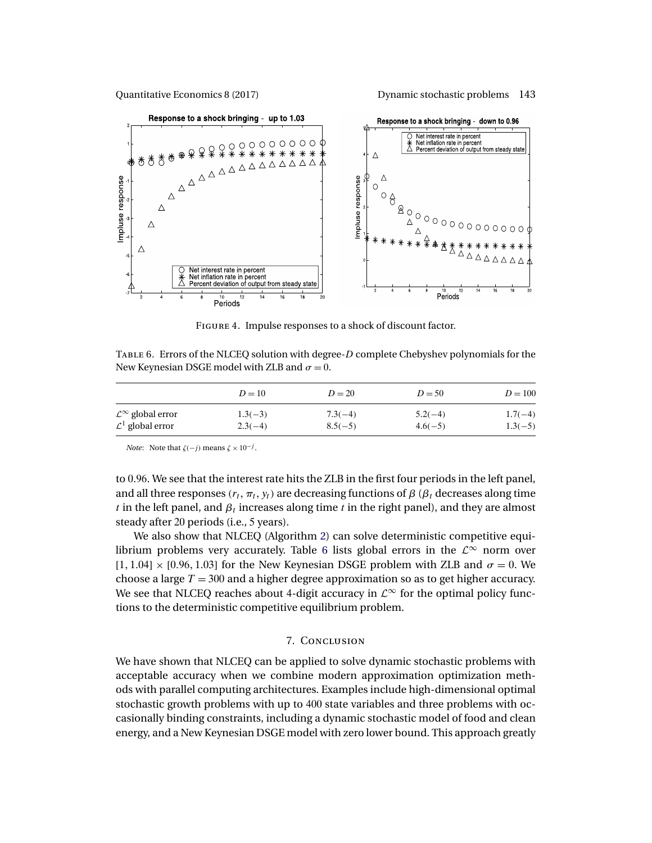<span id="page-26-0"></span>



Figure 4. Impulse responses to a shock of discount factor.

Table 6. Errors of the NLCEQ solution with degree-D complete Chebyshev polynomials for the New Keynesian DSGE model with ZLB and  $\sigma = 0$ .

|                                     | $D=10$    | $D = 20$  | $D = 50$  | $D = 100$ |
|-------------------------------------|-----------|-----------|-----------|-----------|
| $\mathcal{L}^{\infty}$ global error | $1.3(-3)$ | $7.3(-4)$ | $5.2(-4)$ | $1.7(-4)$ |
| $\mathcal{L}^1$ global error        | $2.3(-4)$ | $8.5(-5)$ | $4.6(-5)$ | $1.3(-5)$ |

*Note*: Note that  $\zeta(-i)$  means  $\zeta \times 10^{-j}$ .

to 0.96. We see that the interest rate hits the ZLB in the first four periods in the left panel, and all three responses ( $r_t$ ,  $\pi_t$ ,  $y_t$ ) are decreasing functions of  $\beta$  ( $\beta_t$  decreases along time t in the left panel, and  $\beta_t$  increases along time t in the right panel), and they are almost steady after 20 periods (i.e., 5 years).

We also show that NLCEQ (Algorithm [2\)](#page-9-0) can solve deterministic competitive equilibrium problems very accurately. Table 6 lists global errors in the  $\mathcal{L}^{\infty}$  norm over  $[1, 1.04] \times [0.96, 1.03]$  for the New Keynesian DSGE problem with ZLB and  $\sigma = 0$ . We choose a large  $T = 300$  and a higher degree approximation so as to get higher accuracy. We see that NLCEQ reaches about 4-digit accuracy in  $\mathcal{L}^{\infty}$  for the optimal policy functions to the deterministic competitive equilibrium problem.

# 7. Conclusion

We have shown that NLCEQ can be applied to solve dynamic stochastic problems with acceptable accuracy when we combine modern approximation optimization methods with parallel computing architectures. Examples include high-dimensional optimal stochastic growth problems with up to 400 state variables and three problems with occasionally binding constraints, including a dynamic stochastic model of food and clean energy, and a New Keynesian DSGE model with zero lower bound. This approach greatly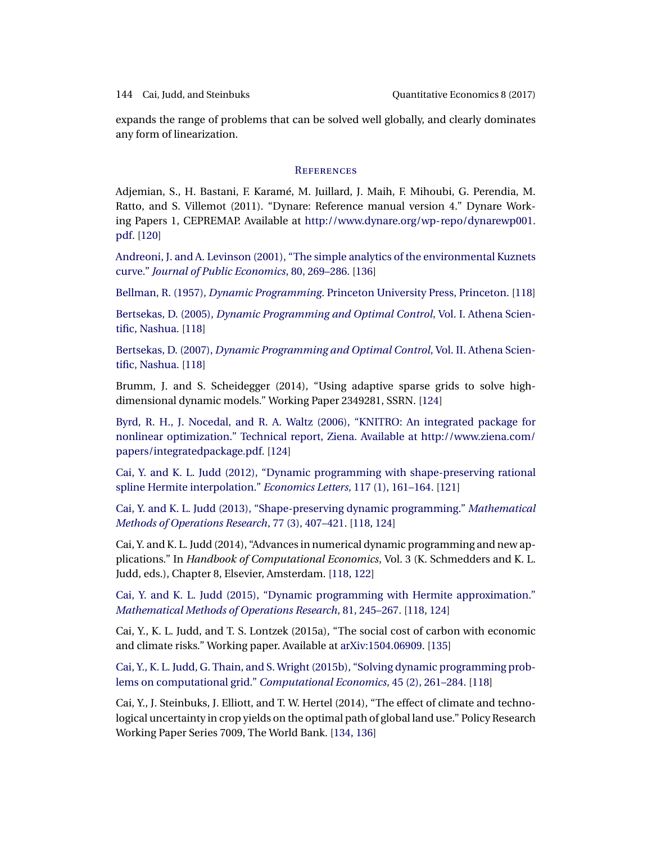<span id="page-27-0"></span>

expands the range of problems that can be solved well globally, and clearly dominates any form of linearization.

# **REFERENCES**

Adjemian, S., H. Bastani, F. Karamé, M. Juillard, J. Maih, F. Mihoubi, G. Perendia, M. Ratto, and S. Villemot (2011). "Dynare: Reference manual version 4." Dynare Working Papers 1, CEPREMAP. Available at [http://www.dynare.org/wp-repo/dynarewp001.](http://www.dynare.org/wp-repo/dynarewp001.pdf) [pdf](http://www.dynare.org/wp-repo/dynarewp001.pdf). [\[120\]](#page-3-0)

[Andreoni, J. and A. Levinson \(2001\), "The simple analytics of the environmental Kuznets](http://www.e-publications.org/srv/qe/linkserver/openurl?rft_dat=bib:2/al01&rfe_id=urn:sici%2F1759-7323%28201703%298%3A1%3C117%3AANCEAM%3E2.0.CO%3B2-I) curve." *[Journal of Public Economics](http://www.e-publications.org/srv/qe/linkserver/openurl?rft_dat=bib:2/al01&rfe_id=urn:sici%2F1759-7323%28201703%298%3A1%3C117%3AANCEAM%3E2.0.CO%3B2-I)*, 80, 269–286. [\[136\]](#page-19-0)

Bellman, R. (1957), *Dynamic Programming*[. Princeton University Press, Princeton.](http://www.e-publications.org/srv/qe/linkserver/openurl?rft_dat=bib:3/be57&rfe_id=urn:sici%2F1759-7323%28201703%298%3A1%3C117%3AANCEAM%3E2.0.CO%3B2-I) [\[118\]](#page-1-0)

Bertsekas, D. (2005), *[Dynamic Programming and Optimal Control](http://www.e-publications.org/srv/qe/linkserver/openurl?rft_dat=bib:4/be05&rfe_id=urn:sici%2F1759-7323%28201703%298%3A1%3C117%3AANCEAM%3E2.0.CO%3B2-I)*, Vol. I. Athena Scien[tific, Nashua.](http://www.e-publications.org/srv/qe/linkserver/openurl?rft_dat=bib:4/be05&rfe_id=urn:sici%2F1759-7323%28201703%298%3A1%3C117%3AANCEAM%3E2.0.CO%3B2-I) [\[118\]](#page-1-0)

Bertsekas, D. (2007), *[Dynamic Programming and Optimal Control](http://www.e-publications.org/srv/qe/linkserver/openurl?rft_dat=bib:5/be07&rfe_id=urn:sici%2F1759-7323%28201703%298%3A1%3C117%3AANCEAM%3E2.0.CO%3B2-I)*, Vol. II. Athena Scien[tific, Nashua.](http://www.e-publications.org/srv/qe/linkserver/openurl?rft_dat=bib:5/be07&rfe_id=urn:sici%2F1759-7323%28201703%298%3A1%3C117%3AANCEAM%3E2.0.CO%3B2-I) [\[118\]](#page-1-0)

Brumm, J. and S. Scheidegger (2014), "Using adaptive sparse grids to solve highdimensional dynamic models." Working Paper 2349281, SSRN. [\[124\]](#page-7-0)

[Byrd, R. H., J. Nocedal, and R. A. Waltz \(2006\), "KNITRO: An integrated package for](http://www.e-publications.org/srv/qe/linkserver/openurl?rft_dat=bib:7/bnw06&rfe_id=urn:sici%2F1759-7323%28201703%298%3A1%3C117%3AANCEAM%3E2.0.CO%3B2-I) [nonlinear optimization." Technical report, Ziena. Available at](http://www.e-publications.org/srv/qe/linkserver/openurl?rft_dat=bib:7/bnw06&rfe_id=urn:sici%2F1759-7323%28201703%298%3A1%3C117%3AANCEAM%3E2.0.CO%3B2-I) [http://www.ziena.com/](http://www.ziena.com/papers/integratedpackage.pdf) [papers/integratedpackage.pdf.](http://www.ziena.com/papers/integratedpackage.pdf) [\[124\]](#page-7-0)

[Cai, Y. and K. L. Judd \(2012\), "Dynamic programming with shape-preserving rational](http://www.e-publications.org/srv/qe/linkserver/openurl?rft_dat=bib:8/cj12&rfe_id=urn:sici%2F1759-7323%28201703%298%3A1%3C117%3AANCEAM%3E2.0.CO%3B2-I) [spline Hermite interpolation."](http://www.e-publications.org/srv/qe/linkserver/openurl?rft_dat=bib:8/cj12&rfe_id=urn:sici%2F1759-7323%28201703%298%3A1%3C117%3AANCEAM%3E2.0.CO%3B2-I) *Economics Letters*, 117 (1), 161–164. [\[121\]](#page-4-0)

[Cai, Y. and K. L. Judd \(2013\), "Shape-preserving dynamic programming."](http://www.e-publications.org/srv/qe/linkserver/openurl?rft_dat=bib:9/cj13&rfe_id=urn:sici%2F1759-7323%28201703%298%3A1%3C117%3AANCEAM%3E2.0.CO%3B2-I) *Mathematical [Methods of Operations Research](http://www.e-publications.org/srv/qe/linkserver/openurl?rft_dat=bib:9/cj13&rfe_id=urn:sici%2F1759-7323%28201703%298%3A1%3C117%3AANCEAM%3E2.0.CO%3B2-I)*, 77 (3), 407–421. [\[118,](#page-1-0) [124\]](#page-7-0)

Cai, Y. and K. L. Judd (2014), "Advances in numerical dynamic programming and new applications." In *Handbook of Computational Economics*, Vol. 3 (K. Schmedders and K. L. Judd, eds.), Chapter 8, Elsevier, Amsterdam. [\[118,](#page-1-0) [122\]](#page-5-0)

[Cai, Y. and K. L. Judd \(2015\), "Dynamic programming with Hermite approximation."](http://www.e-publications.org/srv/qe/linkserver/openurl?rft_dat=bib:11/cj15&rfe_id=urn:sici%2F1759-7323%28201703%298%3A1%3C117%3AANCEAM%3E2.0.CO%3B2-I) *[Mathematical Methods of Operations Research](http://www.e-publications.org/srv/qe/linkserver/openurl?rft_dat=bib:11/cj15&rfe_id=urn:sici%2F1759-7323%28201703%298%3A1%3C117%3AANCEAM%3E2.0.CO%3B2-I)*, 81, 245–267. [\[118,](#page-1-0) [124\]](#page-7-0)

Cai, Y., K. L. Judd, and T. S. Lontzek (2015a), "The social cost of carbon with economic and climate risks." Working paper. Available at [arXiv:1504.06909](http://arxiv.org/abs/arXiv:1504.06909). [\[135\]](#page-18-0)

[Cai, Y., K. L. Judd, G. Thain, and S. Wright \(2015b\), "Solving dynamic programming prob](http://www.e-publications.org/srv/qe/linkserver/openurl?rft_dat=bib:13/caetal15b&rfe_id=urn:sici%2F1759-7323%28201703%298%3A1%3C117%3AANCEAM%3E2.0.CO%3B2-I)[lems on computational grid."](http://www.e-publications.org/srv/qe/linkserver/openurl?rft_dat=bib:13/caetal15b&rfe_id=urn:sici%2F1759-7323%28201703%298%3A1%3C117%3AANCEAM%3E2.0.CO%3B2-I) *Computational Economics*, 45 (2), 261–284. [\[118\]](#page-1-0)

Cai, Y., J. Steinbuks, J. Elliott, and T. W. Hertel (2014), "The effect of climate and technological uncertainty in crop yields on the optimal path of global land use." Policy Research Working Paper Series 7009, The World Bank. [\[134,](#page-17-0) [136\]](#page-19-0)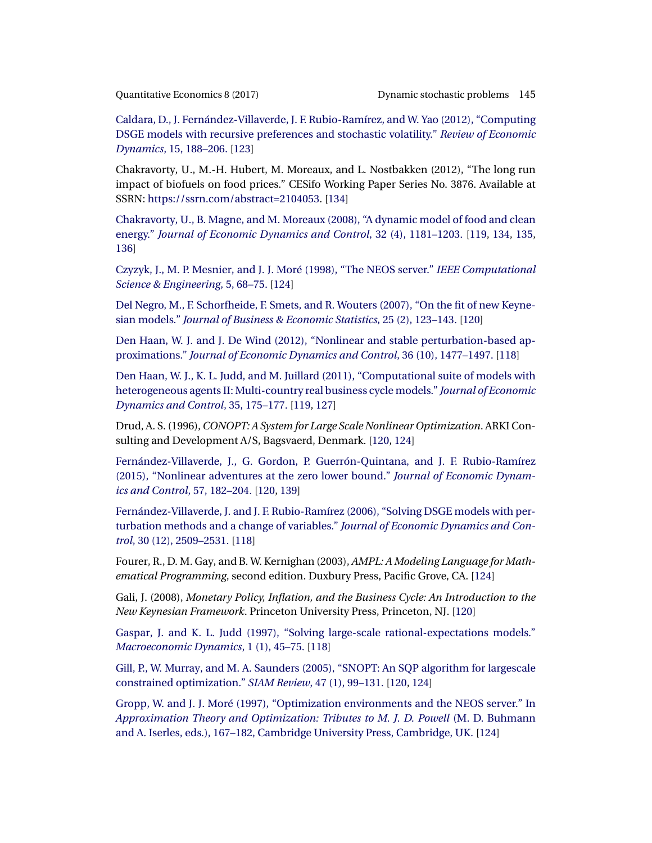<span id="page-28-0"></span>

[Caldara, D., J. Fernández-Villaverde, J. F. Rubio-Ramírez, and W. Yao \(2012\), "Computing](http://www.e-publications.org/srv/qe/linkserver/openurl?rft_dat=bib:15/caetal12&rfe_id=urn:sici%2F1759-7323%28201703%298%3A1%3C117%3AANCEAM%3E2.0.CO%3B2-I) [DSGE models with recursive preferences and stochastic volatility."](http://www.e-publications.org/srv/qe/linkserver/openurl?rft_dat=bib:15/caetal12&rfe_id=urn:sici%2F1759-7323%28201703%298%3A1%3C117%3AANCEAM%3E2.0.CO%3B2-I) *Review of Economic Dynamics*[, 15, 188–206.](http://www.e-publications.org/srv/qe/linkserver/openurl?rft_dat=bib:15/caetal12&rfe_id=urn:sici%2F1759-7323%28201703%298%3A1%3C117%3AANCEAM%3E2.0.CO%3B2-I) [\[123\]](#page-6-0)

Chakravorty, U., M.-H. Hubert, M. Moreaux, and L. Nostbakken (2012), "The long run impact of biofuels on food prices." CESifo Working Paper Series No. 3876. Available at SSRN: <https://ssrn.com/abstract=2104053>. [\[134\]](#page-17-0)

[Chakravorty, U., B. Magne, and M. Moreaux \(2008\), "A dynamic model of food and clean](http://www.e-publications.org/srv/qe/linkserver/openurl?rft_dat=bib:17/cmm08&rfe_id=urn:sici%2F1759-7323%28201703%298%3A1%3C117%3AANCEAM%3E2.0.CO%3B2-I) energy." *[Journal of Economic Dynamics and Control](http://www.e-publications.org/srv/qe/linkserver/openurl?rft_dat=bib:17/cmm08&rfe_id=urn:sici%2F1759-7323%28201703%298%3A1%3C117%3AANCEAM%3E2.0.CO%3B2-I)*, 32 (4), 1181–1203. [\[119,](#page-2-0) [134,](#page-17-0) [135,](#page-18-0) [136\]](#page-19-0)

[Czyzyk, J., M. P. Mesnier, and J. J. Moré \(1998\), "The NEOS server."](http://www.e-publications.org/srv/qe/linkserver/openurl?rft_dat=bib:18/cmm98&rfe_id=urn:sici%2F1759-7323%28201703%298%3A1%3C117%3AANCEAM%3E2.0.CO%3B2-I) *IEEE Computational [Science & Engineering](http://www.e-publications.org/srv/qe/linkserver/openurl?rft_dat=bib:18/cmm98&rfe_id=urn:sici%2F1759-7323%28201703%298%3A1%3C117%3AANCEAM%3E2.0.CO%3B2-I)*, 5, 68–75. [\[124\]](#page-7-0)

[Del Negro, M., F. Schorfheide, F. Smets, and R. Wouters \(2007\), "On the fit of new Keyne](http://www.e-publications.org/srv/qe/linkserver/openurl?rft_dat=bib:19/deetal07&rfe_id=urn:sici%2F1759-7323%28201703%298%3A1%3C117%3AANCEAM%3E2.0.CO%3B2-I)sian models." *[Journal of Business & Economic Statistics](http://www.e-publications.org/srv/qe/linkserver/openurl?rft_dat=bib:19/deetal07&rfe_id=urn:sici%2F1759-7323%28201703%298%3A1%3C117%3AANCEAM%3E2.0.CO%3B2-I)*, 25 (2), 123–143. [\[120\]](#page-3-0)

[Den Haan, W. J. and J. De Wind \(2012\), "Nonlinear and stable perturbation-based ap](http://www.e-publications.org/srv/qe/linkserver/openurl?rft_dat=bib:20/dd12&rfe_id=urn:sici%2F1759-7323%28201703%298%3A1%3C117%3AANCEAM%3E2.0.CO%3B2-I)proximations." *[Journal of Economic Dynamics and Control](http://www.e-publications.org/srv/qe/linkserver/openurl?rft_dat=bib:20/dd12&rfe_id=urn:sici%2F1759-7323%28201703%298%3A1%3C117%3AANCEAM%3E2.0.CO%3B2-I)*, 36 (10), 1477–1497. [\[118\]](#page-1-0)

[Den Haan, W. J., K. L. Judd, and M. Juillard \(2011\), "Computational suite of models with](http://www.e-publications.org/srv/qe/linkserver/openurl?rft_dat=bib:21/djj11&rfe_id=urn:sici%2F1759-7323%28201703%298%3A1%3C117%3AANCEAM%3E2.0.CO%3B2-I) [heterogeneous agents II: Multi-country real business cycle models."](http://www.e-publications.org/srv/qe/linkserver/openurl?rft_dat=bib:21/djj11&rfe_id=urn:sici%2F1759-7323%28201703%298%3A1%3C117%3AANCEAM%3E2.0.CO%3B2-I) *Journal of Economic [Dynamics and Control](http://www.e-publications.org/srv/qe/linkserver/openurl?rft_dat=bib:21/djj11&rfe_id=urn:sici%2F1759-7323%28201703%298%3A1%3C117%3AANCEAM%3E2.0.CO%3B2-I)*, 35, 175–177. [\[119,](#page-2-0) [127\]](#page-10-0)

Drud, A. S. (1996), *CONOPT: A System for Large Scale Nonlinear Optimization*. ARKI Consulting and Development A/S, Bagsvaerd, Denmark. [\[120,](#page-3-0) [124\]](#page-7-0)

[Fernández-Villaverde, J., G. Gordon, P. Guerrón-Quintana, and J. F. Rubio-Ramírez](http://www.e-publications.org/srv/qe/linkserver/openurl?rft_dat=bib:23/feetal15&rfe_id=urn:sici%2F1759-7323%28201703%298%3A1%3C117%3AANCEAM%3E2.0.CO%3B2-I) [\(2015\), "Nonlinear adventures at the zero lower bound."](http://www.e-publications.org/srv/qe/linkserver/openurl?rft_dat=bib:23/feetal15&rfe_id=urn:sici%2F1759-7323%28201703%298%3A1%3C117%3AANCEAM%3E2.0.CO%3B2-I) *Journal of Economic Dynam[ics and Control](http://www.e-publications.org/srv/qe/linkserver/openurl?rft_dat=bib:23/feetal15&rfe_id=urn:sici%2F1759-7323%28201703%298%3A1%3C117%3AANCEAM%3E2.0.CO%3B2-I)*, 57, 182–204. [\[120,](#page-3-0) [139\]](#page-22-0)

[Fernández-Villaverde, J. and J. F. Rubio-Ramírez \(2006\), "Solving DSGE models with per](http://www.e-publications.org/srv/qe/linkserver/openurl?rft_dat=bib:24/fr06&rfe_id=urn:sici%2F1759-7323%28201703%298%3A1%3C117%3AANCEAM%3E2.0.CO%3B2-I)[turbation methods and a change of variables."](http://www.e-publications.org/srv/qe/linkserver/openurl?rft_dat=bib:24/fr06&rfe_id=urn:sici%2F1759-7323%28201703%298%3A1%3C117%3AANCEAM%3E2.0.CO%3B2-I) *Journal of Economic Dynamics and Control*[, 30 \(12\), 2509–2531.](http://www.e-publications.org/srv/qe/linkserver/openurl?rft_dat=bib:24/fr06&rfe_id=urn:sici%2F1759-7323%28201703%298%3A1%3C117%3AANCEAM%3E2.0.CO%3B2-I) [\[118\]](#page-1-0)

Fourer, R., D. M. Gay, and B. W. Kernighan (2003), *AMPL: A Modeling Language for Mathematical Programming*, second edition. Duxbury Press, Pacific Grove, CA. [\[124\]](#page-7-0)

Gali, J. (2008), *Monetary Policy, Inflation, and the Business Cycle: An Introduction to the New Keynesian Framework*. Princeton University Press, Princeton, NJ. [\[120\]](#page-3-0)

[Gaspar, J. and K. L. Judd \(1997\), "Solving large-scale rational-expectations models."](http://www.e-publications.org/srv/qe/linkserver/openurl?rft_dat=bib:27/gj97&rfe_id=urn:sici%2F1759-7323%28201703%298%3A1%3C117%3AANCEAM%3E2.0.CO%3B2-I) *[Macroeconomic Dynamics](http://www.e-publications.org/srv/qe/linkserver/openurl?rft_dat=bib:27/gj97&rfe_id=urn:sici%2F1759-7323%28201703%298%3A1%3C117%3AANCEAM%3E2.0.CO%3B2-I)*, 1 (1), 45–75. [\[118\]](#page-1-0)

[Gill, P., W. Murray, and M. A. Saunders \(2005\), "SNOPT: An SQP algorithm for largescale](http://www.e-publications.org/srv/qe/linkserver/openurl?rft_dat=bib:28/gms05&rfe_id=urn:sici%2F1759-7323%28201703%298%3A1%3C117%3AANCEAM%3E2.0.CO%3B2-I) [constrained optimization."](http://www.e-publications.org/srv/qe/linkserver/openurl?rft_dat=bib:28/gms05&rfe_id=urn:sici%2F1759-7323%28201703%298%3A1%3C117%3AANCEAM%3E2.0.CO%3B2-I) *SIAM Review*, 47 (1), 99–131. [\[120,](#page-3-0) [124\]](#page-7-0)

[Gropp, W. and J. J. Moré \(1997\), "Optimization environments and the NEOS server." In](http://www.e-publications.org/srv/qe/linkserver/openurl?rft_dat=bib:29/gm97&rfe_id=urn:sici%2F1759-7323%28201703%298%3A1%3C117%3AANCEAM%3E2.0.CO%3B2-I) *[Approximation Theory and Optimization: Tributes to M. J. D. Powell](http://www.e-publications.org/srv/qe/linkserver/openurl?rft_dat=bib:29/gm97&rfe_id=urn:sici%2F1759-7323%28201703%298%3A1%3C117%3AANCEAM%3E2.0.CO%3B2-I)* (M. D. Buhmann [and A. Iserles, eds.\), 167–182, Cambridge University Press, Cambridge, UK.](http://www.e-publications.org/srv/qe/linkserver/openurl?rft_dat=bib:29/gm97&rfe_id=urn:sici%2F1759-7323%28201703%298%3A1%3C117%3AANCEAM%3E2.0.CO%3B2-I) [\[124\]](#page-7-0)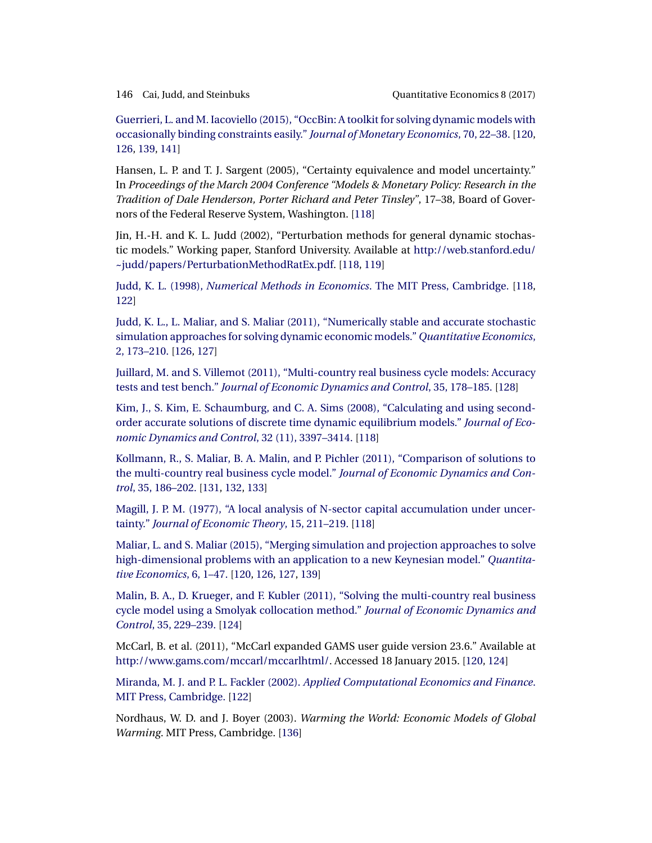<span id="page-29-0"></span>

[Guerrieri, L. and M. Iacoviello \(2015\), "OccBin: A toolkit for solving dynamic models with](http://www.e-publications.org/srv/qe/linkserver/openurl?rft_dat=bib:30/gi15&rfe_id=urn:sici%2F1759-7323%28201703%298%3A1%3C117%3AANCEAM%3E2.0.CO%3B2-I) [occasionally binding constraints easily."](http://www.e-publications.org/srv/qe/linkserver/openurl?rft_dat=bib:30/gi15&rfe_id=urn:sici%2F1759-7323%28201703%298%3A1%3C117%3AANCEAM%3E2.0.CO%3B2-I) *Journal of Monetary Economics*, 70, 22–38. [\[120,](#page-3-0) [126,](#page-9-0) [139,](#page-22-0) [141\]](#page-24-0)

Hansen, L. P. and T. J. Sargent (2005), "Certainty equivalence and model uncertainty." In *Proceedings of the March 2004 Conference "Models & Monetary Policy: Research in the Tradition of Dale Henderson, Porter Richard and Peter Tinsley"*, 17–38, Board of Governors of the Federal Reserve System, Washington. [\[118\]](#page-1-0)

Jin, H.-H. and K. L. Judd (2002), "Perturbation methods for general dynamic stochastic models." Working paper, Stanford University. Available at [http://web.stanford.edu/](http://web.stanford.edu/~judd/papers/PerturbationMethodRatEx.pdf) [~judd/papers/PerturbationMethodRatEx.pdf](http://web.stanford.edu/~judd/papers/PerturbationMethodRatEx.pdf). [\[118,](#page-1-0) [119\]](#page-2-0)

Judd, K. L. (1998), *[Numerical Methods in Economics](http://www.e-publications.org/srv/qe/linkserver/openurl?rft_dat=bib:33/ju98&rfe_id=urn:sici%2F1759-7323%28201703%298%3A1%3C117%3AANCEAM%3E2.0.CO%3B2-I)*. The MIT Press, Cambridge. [\[118,](#page-1-0) [122\]](#page-5-0)

[Judd, K. L., L. Maliar, and S. Maliar \(2011\), "Numerically stable and accurate stochastic](http://www.e-publications.org/srv/qe/linkserver/openurl?rft_dat=bib:34/jmm11&rfe_id=urn:sici%2F1759-7323%28201703%298%3A1%3C117%3AANCEAM%3E2.0.CO%3B2-I) [simulation approaches for solving dynamic economic models."](http://www.e-publications.org/srv/qe/linkserver/openurl?rft_dat=bib:34/jmm11&rfe_id=urn:sici%2F1759-7323%28201703%298%3A1%3C117%3AANCEAM%3E2.0.CO%3B2-I) *Quantitative Economics*, [2, 173–210.](http://www.e-publications.org/srv/qe/linkserver/openurl?rft_dat=bib:34/jmm11&rfe_id=urn:sici%2F1759-7323%28201703%298%3A1%3C117%3AANCEAM%3E2.0.CO%3B2-I) [\[126,](#page-9-0) [127\]](#page-10-0)

[Juillard, M. and S. Villemot \(2011\), "Multi-country real business cycle models: Accuracy](http://www.e-publications.org/srv/qe/linkserver/openurl?rft_dat=bib:35/jv11&rfe_id=urn:sici%2F1759-7323%28201703%298%3A1%3C117%3AANCEAM%3E2.0.CO%3B2-I) tests and test bench." *[Journal of Economic Dynamics and Control](http://www.e-publications.org/srv/qe/linkserver/openurl?rft_dat=bib:35/jv11&rfe_id=urn:sici%2F1759-7323%28201703%298%3A1%3C117%3AANCEAM%3E2.0.CO%3B2-I)*, 35, 178–185. [\[128\]](#page-11-0)

[Kim, J., S. Kim, E. Schaumburg, and C. A. Sims \(2008\), "Calculating and using second](http://www.e-publications.org/srv/qe/linkserver/openurl?rft_dat=bib:36/kietal08&rfe_id=urn:sici%2F1759-7323%28201703%298%3A1%3C117%3AANCEAM%3E2.0.CO%3B2-I)[order accurate solutions of discrete time dynamic equilibrium models."](http://www.e-publications.org/srv/qe/linkserver/openurl?rft_dat=bib:36/kietal08&rfe_id=urn:sici%2F1759-7323%28201703%298%3A1%3C117%3AANCEAM%3E2.0.CO%3B2-I) *Journal of Eco[nomic Dynamics and Control](http://www.e-publications.org/srv/qe/linkserver/openurl?rft_dat=bib:36/kietal08&rfe_id=urn:sici%2F1759-7323%28201703%298%3A1%3C117%3AANCEAM%3E2.0.CO%3B2-I)*, 32 (11), 3397–3414. [\[118\]](#page-1-0)

[Kollmann, R., S. Maliar, B. A. Malin, and P. Pichler \(2011\), "Comparison of solutions to](http://www.e-publications.org/srv/qe/linkserver/openurl?rft_dat=bib:37/koetal11&rfe_id=urn:sici%2F1759-7323%28201703%298%3A1%3C117%3AANCEAM%3E2.0.CO%3B2-I) [the multi-country real business cycle model."](http://www.e-publications.org/srv/qe/linkserver/openurl?rft_dat=bib:37/koetal11&rfe_id=urn:sici%2F1759-7323%28201703%298%3A1%3C117%3AANCEAM%3E2.0.CO%3B2-I) *Journal of Economic Dynamics and Control*[, 35, 186–202.](http://www.e-publications.org/srv/qe/linkserver/openurl?rft_dat=bib:37/koetal11&rfe_id=urn:sici%2F1759-7323%28201703%298%3A1%3C117%3AANCEAM%3E2.0.CO%3B2-I) [\[131,](#page-14-0) [132,](#page-15-0) [133\]](#page-16-0)

[Magill, J. P. M. \(1977\), "A local analysis of N-sector capital accumulation under uncer](http://www.e-publications.org/srv/qe/linkserver/openurl?rft_dat=bib:38/ma77&rfe_id=urn:sici%2F1759-7323%28201703%298%3A1%3C117%3AANCEAM%3E2.0.CO%3B2-I)tainty." *[Journal of Economic Theory](http://www.e-publications.org/srv/qe/linkserver/openurl?rft_dat=bib:38/ma77&rfe_id=urn:sici%2F1759-7323%28201703%298%3A1%3C117%3AANCEAM%3E2.0.CO%3B2-I)*, 15, 211–219. [\[118\]](#page-1-0)

[Maliar, L. and S. Maliar \(2015\), "Merging simulation and projection approaches to solve](http://www.e-publications.org/srv/qe/linkserver/openurl?rft_dat=bib:39/mm15&rfe_id=urn:sici%2F1759-7323%28201703%298%3A1%3C117%3AANCEAM%3E2.0.CO%3B2-I) [high-dimensional problems with an application to a new Keynesian model."](http://www.e-publications.org/srv/qe/linkserver/openurl?rft_dat=bib:39/mm15&rfe_id=urn:sici%2F1759-7323%28201703%298%3A1%3C117%3AANCEAM%3E2.0.CO%3B2-I) *Quantita[tive Economics](http://www.e-publications.org/srv/qe/linkserver/openurl?rft_dat=bib:39/mm15&rfe_id=urn:sici%2F1759-7323%28201703%298%3A1%3C117%3AANCEAM%3E2.0.CO%3B2-I)*, 6, 1–47. [\[120,](#page-3-0) [126,](#page-9-0) [127,](#page-10-0) [139\]](#page-22-0)

[Malin, B. A., D. Krueger, and F. Kubler \(2011\), "Solving the multi-country real business](http://www.e-publications.org/srv/qe/linkserver/openurl?rft_dat=bib:40/mkk11&rfe_id=urn:sici%2F1759-7323%28201703%298%3A1%3C117%3AANCEAM%3E2.0.CO%3B2-I) [cycle model using a Smolyak collocation method."](http://www.e-publications.org/srv/qe/linkserver/openurl?rft_dat=bib:40/mkk11&rfe_id=urn:sici%2F1759-7323%28201703%298%3A1%3C117%3AANCEAM%3E2.0.CO%3B2-I) *Journal of Economic Dynamics and Control*[, 35, 229–239.](http://www.e-publications.org/srv/qe/linkserver/openurl?rft_dat=bib:40/mkk11&rfe_id=urn:sici%2F1759-7323%28201703%298%3A1%3C117%3AANCEAM%3E2.0.CO%3B2-I) [\[124\]](#page-7-0)

McCarl, B. et al. (2011), "McCarl expanded GAMS user guide version 23.6." Available at <http://www.gams.com/mccarl/mccarlhtml/>. Accessed 18 January 2015. [\[120,](#page-3-0) [124\]](#page-7-0)

Miranda, M. J. and P. L. Fackler (2002). *[Applied Computational Economics and Finance](http://www.e-publications.org/srv/qe/linkserver/openurl?rft_dat=bib:42/mf02&rfe_id=urn:sici%2F1759-7323%28201703%298%3A1%3C117%3AANCEAM%3E2.0.CO%3B2-I)*. [MIT Press, Cambridge.](http://www.e-publications.org/srv/qe/linkserver/openurl?rft_dat=bib:42/mf02&rfe_id=urn:sici%2F1759-7323%28201703%298%3A1%3C117%3AANCEAM%3E2.0.CO%3B2-I) [\[122\]](#page-5-0)

Nordhaus, W. D. and J. Boyer (2003). *Warming the World: Economic Models of Global Warming*. MIT Press, Cambridge. [\[136\]](#page-19-0)